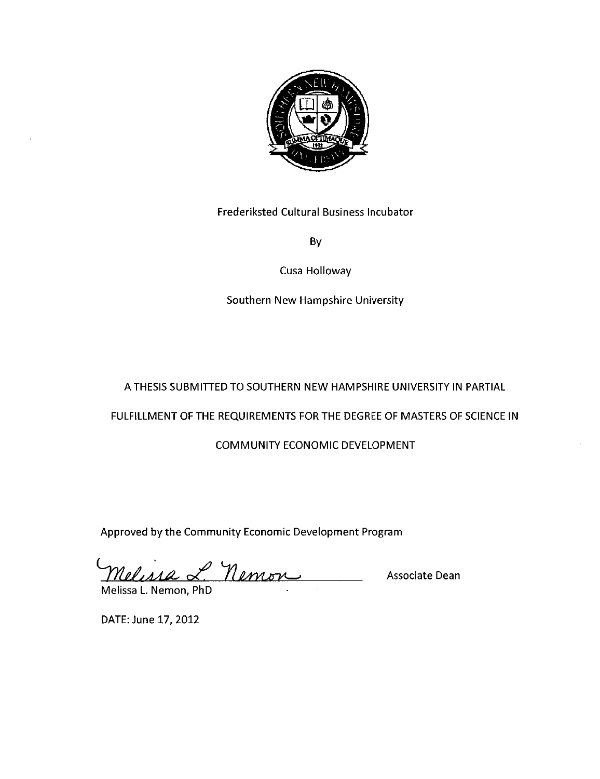

Frederiksted Cultural Business Incubator

By

Cusa Holloway

Southern New Hampshire University

# A THESIS SUBMITTED TO SOUTHERN NEW HAMPSHIRE UNIVERSITY IN PARTIAL

# FULFILLMENT OF THE REQUIREMENTS FOR THE DEGREE OF MASTERS OF SCIENCE IN

# COMMUNITY ECONOMIC DEVELOPMENT

Approved by the Community Economic Development Program

Nelissa L. Nemon **Associate Dean** Melissa L. Nemon, PhD

DATE: June 17, 2012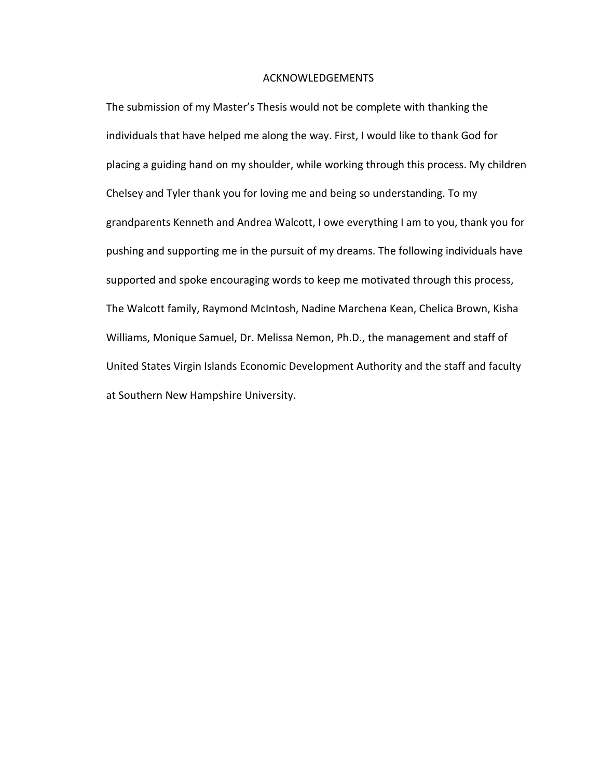#### ACKNOWLEDGEMENTS

The submission of my Master's Thesis would not be complete with thanking the individuals that have helped me along the way. First, I would like to thank God for placing a guiding hand on my shoulder, while working through this process. My children Chelsey and Tyler thank you for loving me and being so understanding. To my grandparents Kenneth and Andrea Walcott, I owe everything I am to you, thank you for pushing and supporting me in the pursuit of my dreams. The following individuals have supported and spoke encouraging words to keep me motivated through this process, The Walcott family, Raymond McIntosh, Nadine Marchena Kean, Chelica Brown, Kisha Williams, Monique Samuel, Dr. Melissa Nemon, Ph.D., the management and staff of United States Virgin Islands Economic Development Authority and the staff and faculty at Southern New Hampshire University.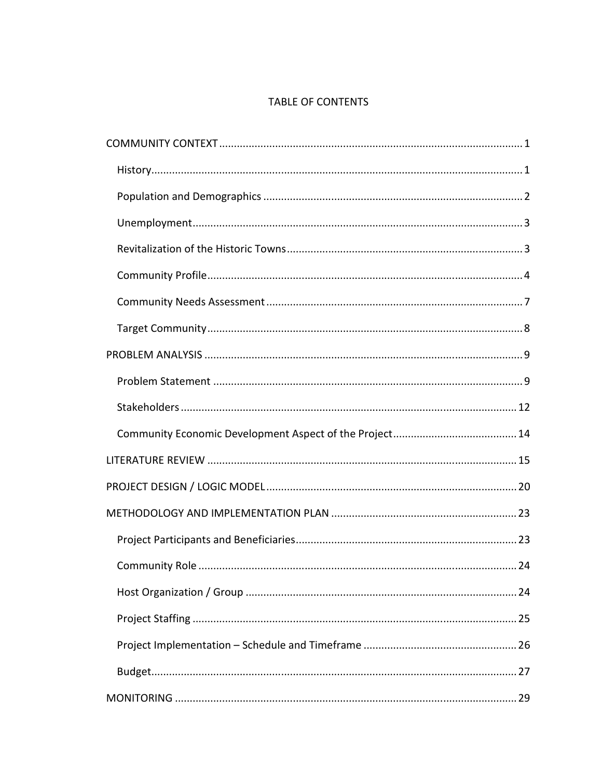# TABLE OF CONTENTS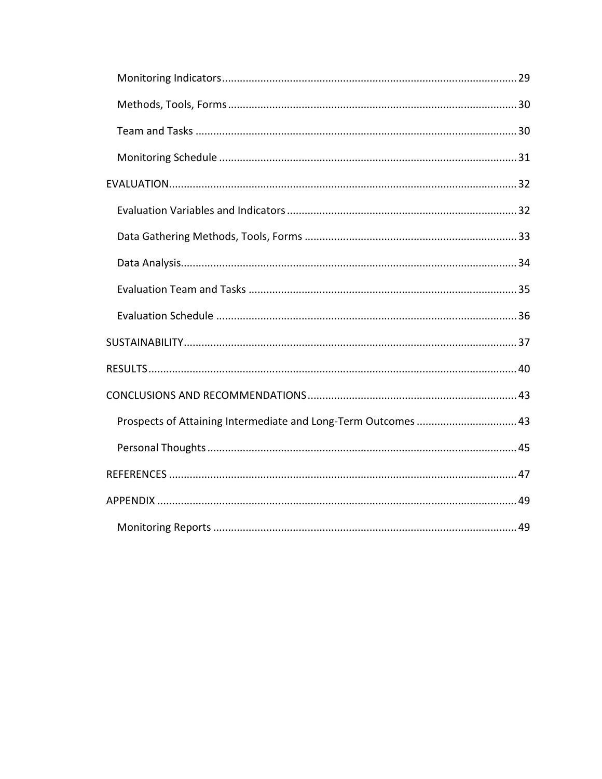| Prospects of Attaining Intermediate and Long-Term Outcomes  43 |  |
|----------------------------------------------------------------|--|
|                                                                |  |
|                                                                |  |
|                                                                |  |
|                                                                |  |
|                                                                |  |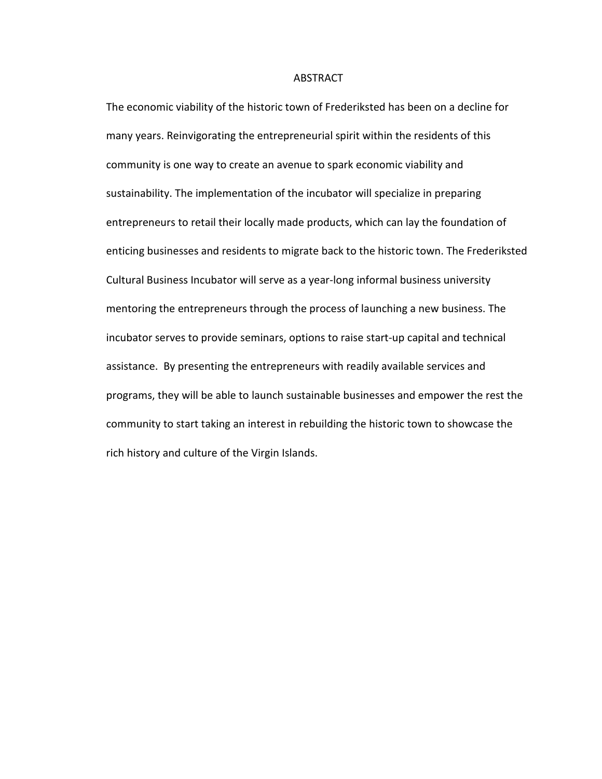#### ABSTRACT

The economic viability of the historic town of Frederiksted has been on a decline for many years. Reinvigorating the entrepreneurial spirit within the residents of this community is one way to create an avenue to spark economic viability and sustainability. The implementation of the incubator will specialize in preparing entrepreneurs to retail their locally made products, which can lay the foundation of enticing businesses and residents to migrate back to the historic town. The Frederiksted Cultural Business Incubator will serve as a year-long informal business university mentoring the entrepreneurs through the process of launching a new business. The incubator serves to provide seminars, options to raise start-up capital and technical assistance. By presenting the entrepreneurs with readily available services and programs, they will be able to launch sustainable businesses and empower the rest the community to start taking an interest in rebuilding the historic town to showcase the rich history and culture of the Virgin Islands.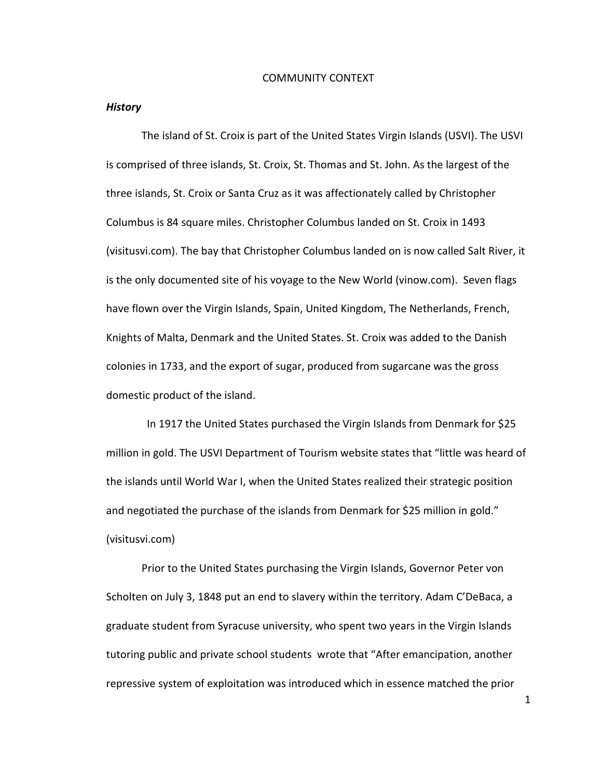#### COMMUNITY CONTEXT

#### *History*

The island of St. Croix is part of the United States Virgin Islands (USVI). The USVI is comprised of three islands, St. Croix, St. Thomas and St. John. As the largest of the three islands, St. Croix or Santa Cruz as it was affectionately called by Christopher Columbus is 84 square miles. Christopher Columbus landed on St. Croix in 1493 (visitusvi.com). The bay that Christopher Columbus landed on is now called Salt River, it is the only documented site of his voyage to the New World (vinow.com). Seven flags have flown over the Virgin Islands, Spain, United Kingdom, The Netherlands, French, Knights of Malta, Denmark and the United States. St. Croix was added to the Danish colonies in 1733, and the export of sugar, produced from sugarcane was the gross domestic product of the island.

 In 1917 the United States purchased the Virgin Islands from Denmark for \$25 million in gold. The USVI Department of Tourism website states that "little was heard of the islands until World War I, when the United States realized their strategic position and negotiated the purchase of the islands from Denmark for \$25 million in gold." (visitusvi.com)

 Prior to the United States purchasing the Virgin Islands, Governor Peter von Scholten on July 3, 1848 put an end to slavery within the territory. Adam C'DeBaca, a graduate student from Syracuse university, who spent two years in the Virgin Islands tutoring public and private school students wrote that "After emancipation, another repressive system of exploitation was introduced which in essence matched the prior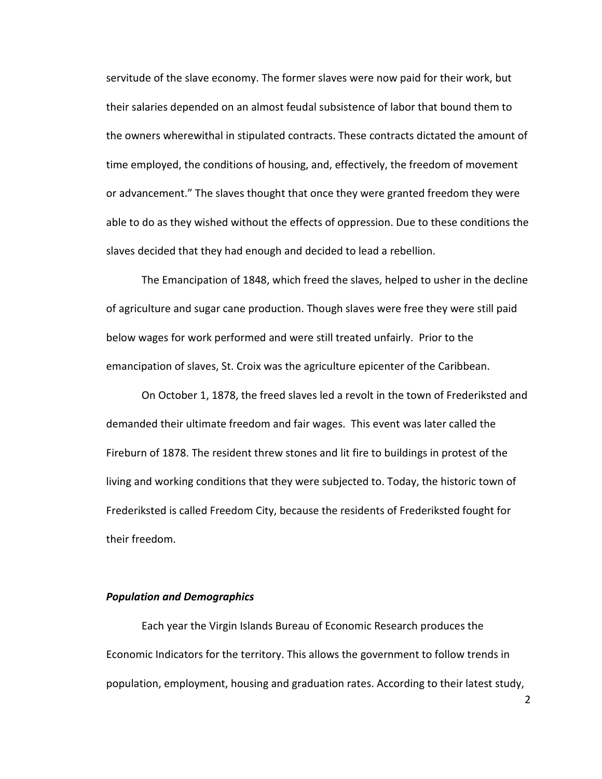servitude of the slave economy. The former slaves were now paid for their work, but their salaries depended on an almost feudal subsistence of labor that bound them to the owners wherewithal in stipulated contracts. These contracts dictated the amount of time employed, the conditions of housing, and, effectively, the freedom of movement or advancement." The slaves thought that once they were granted freedom they were able to do as they wished without the effects of oppression. Due to these conditions the slaves decided that they had enough and decided to lead a rebellion.

The Emancipation of 1848, which freed the slaves, helped to usher in the decline of agriculture and sugar cane production. Though slaves were free they were still paid below wages for work performed and were still treated unfairly. Prior to the emancipation of slaves, St. Croix was the agriculture epicenter of the Caribbean.

On October 1, 1878, the freed slaves led a revolt in the town of Frederiksted and demanded their ultimate freedom and fair wages. This event was later called the Fireburn of 1878. The resident threw stones and lit fire to buildings in protest of the living and working conditions that they were subjected to. Today, the historic town of Frederiksted is called Freedom City, because the residents of Frederiksted fought for their freedom.

### *Population and Demographics*

Each year the Virgin Islands Bureau of Economic Research produces the Economic Indicators for the territory. This allows the government to follow trends in population, employment, housing and graduation rates. According to their latest study,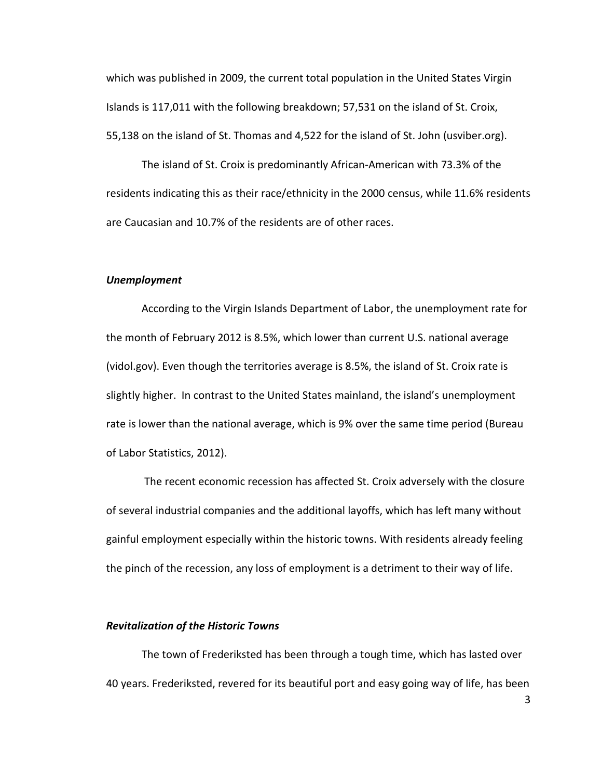which was published in 2009, the current total population in the United States Virgin Islands is 117,011 with the following breakdown; 57,531 on the island of St. Croix, 55,138 on the island of St. Thomas and 4,522 for the island of St. John (usviber.org).

The island of St. Croix is predominantly African-American with 73.3% of the residents indicating this as their race/ethnicity in the 2000 census, while 11.6% residents are Caucasian and 10.7% of the residents are of other races.

#### *Unemployment*

According to the Virgin Islands Department of Labor, the unemployment rate for the month of February 2012 is 8.5%, which lower than current U.S. national average (vidol.gov). Even though the territories average is 8.5%, the island of St. Croix rate is slightly higher. In contrast to the United States mainland, the island's unemployment rate is lower than the national average, which is 9% over the same time period (Bureau of Labor Statistics, 2012).

 The recent economic recession has affected St. Croix adversely with the closure of several industrial companies and the additional layoffs, which has left many without gainful employment especially within the historic towns. With residents already feeling the pinch of the recession, any loss of employment is a detriment to their way of life.

#### *Revitalization of the Historic Towns*

The town of Frederiksted has been through a tough time, which has lasted over 40 years. Frederiksted, revered for its beautiful port and easy going way of life, has been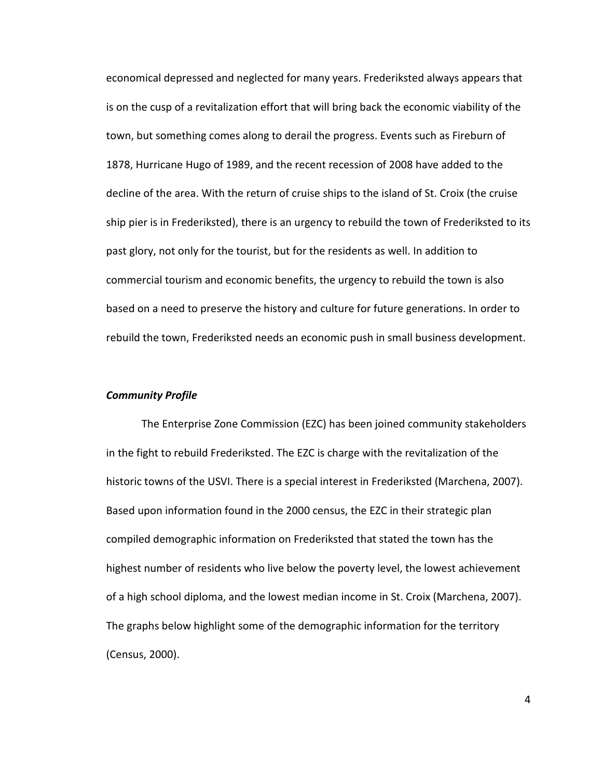economical depressed and neglected for many years. Frederiksted always appears that is on the cusp of a revitalization effort that will bring back the economic viability of the town, but something comes along to derail the progress. Events such as Fireburn of 1878, Hurricane Hugo of 1989, and the recent recession of 2008 have added to the decline of the area. With the return of cruise ships to the island of St. Croix (the cruise ship pier is in Frederiksted), there is an urgency to rebuild the town of Frederiksted to its past glory, not only for the tourist, but for the residents as well. In addition to commercial tourism and economic benefits, the urgency to rebuild the town is also based on a need to preserve the history and culture for future generations. In order to rebuild the town, Frederiksted needs an economic push in small business development.

## *Community Profile*

The Enterprise Zone Commission (EZC) has been joined community stakeholders in the fight to rebuild Frederiksted. The EZC is charge with the revitalization of the historic towns of the USVI. There is a special interest in Frederiksted (Marchena, 2007). Based upon information found in the 2000 census, the EZC in their strategic plan compiled demographic information on Frederiksted that stated the town has the highest number of residents who live below the poverty level, the lowest achievement of a high school diploma, and the lowest median income in St. Croix (Marchena, 2007). The graphs below highlight some of the demographic information for the territory (Census, 2000).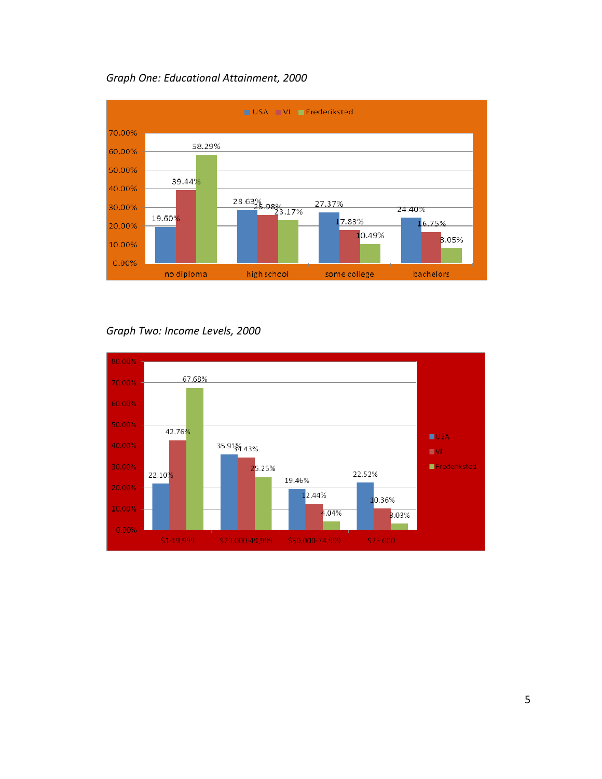

# *Graph One: Educational Attainment, 2000*

*Graph Two: Income Levels, 2000* 

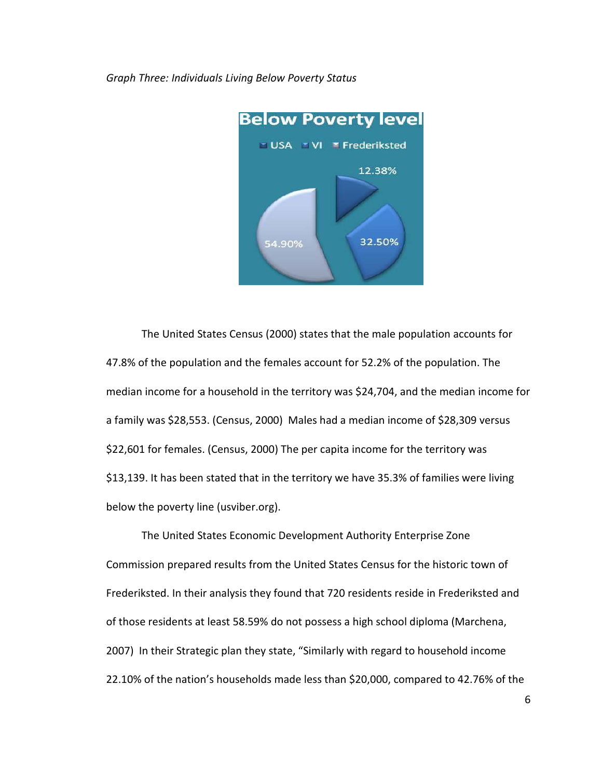

*Graph Three: Individuals Living Below Poverty Status* 

The United States Census (2000) states that the male population accounts for 47.8% of the population and the females account for 52.2% of the population. The median income for a household in the territory was \$24,704, and the median income for a family was \$28,553. (Census, 2000) Males had a median income of \$28,309 versus \$22,601 for females. (Census, 2000) The per capita income for the territory was \$13,139. It has been stated that in the territory we have 35.3% of families were living below the poverty line (usviber.org).

The United States Economic Development Authority Enterprise Zone Commission prepared results from the United States Census for the historic town of Frederiksted. In their analysis they found that 720 residents reside in Frederiksted and of those residents at least 58.59% do not possess a high school diploma (Marchena, 2007) In their Strategic plan they state, "Similarly with regard to household income 22.10% of the nation's households made less than \$20,000, compared to 42.76% of the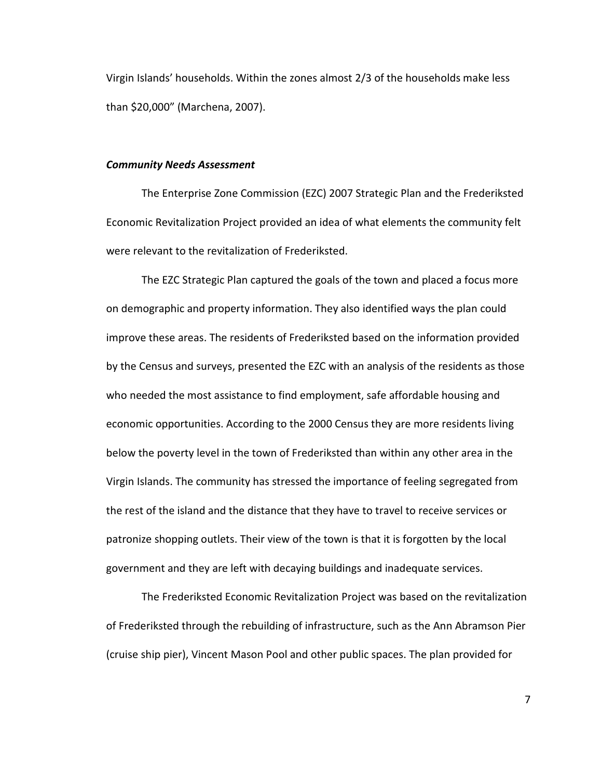Virgin Islands' households. Within the zones almost 2/3 of the households make less than \$20,000" (Marchena, 2007).

#### *Community Needs Assessment*

The Enterprise Zone Commission (EZC) 2007 Strategic Plan and the Frederiksted Economic Revitalization Project provided an idea of what elements the community felt were relevant to the revitalization of Frederiksted.

The EZC Strategic Plan captured the goals of the town and placed a focus more on demographic and property information. They also identified ways the plan could improve these areas. The residents of Frederiksted based on the information provided by the Census and surveys, presented the EZC with an analysis of the residents as those who needed the most assistance to find employment, safe affordable housing and economic opportunities. According to the 2000 Census they are more residents living below the poverty level in the town of Frederiksted than within any other area in the Virgin Islands. The community has stressed the importance of feeling segregated from the rest of the island and the distance that they have to travel to receive services or patronize shopping outlets. Their view of the town is that it is forgotten by the local government and they are left with decaying buildings and inadequate services.

The Frederiksted Economic Revitalization Project was based on the revitalization of Frederiksted through the rebuilding of infrastructure, such as the Ann Abramson Pier (cruise ship pier), Vincent Mason Pool and other public spaces. The plan provided for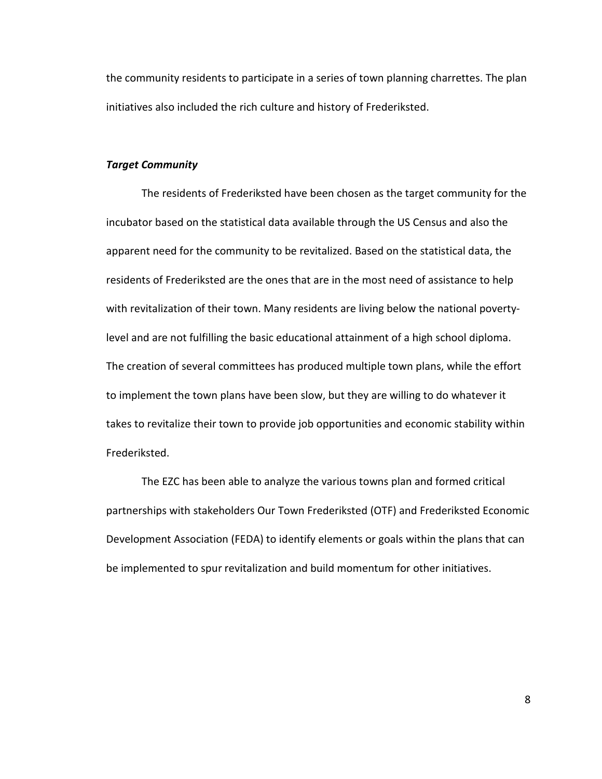the community residents to participate in a series of town planning charrettes. The plan initiatives also included the rich culture and history of Frederiksted.

## *Target Community*

The residents of Frederiksted have been chosen as the target community for the incubator based on the statistical data available through the US Census and also the apparent need for the community to be revitalized. Based on the statistical data, the residents of Frederiksted are the ones that are in the most need of assistance to help with revitalization of their town. Many residents are living below the national povertylevel and are not fulfilling the basic educational attainment of a high school diploma. The creation of several committees has produced multiple town plans, while the effort to implement the town plans have been slow, but they are willing to do whatever it takes to revitalize their town to provide job opportunities and economic stability within Frederiksted.

The EZC has been able to analyze the various towns plan and formed critical partnerships with stakeholders Our Town Frederiksted (OTF) and Frederiksted Economic Development Association (FEDA) to identify elements or goals within the plans that can be implemented to spur revitalization and build momentum for other initiatives.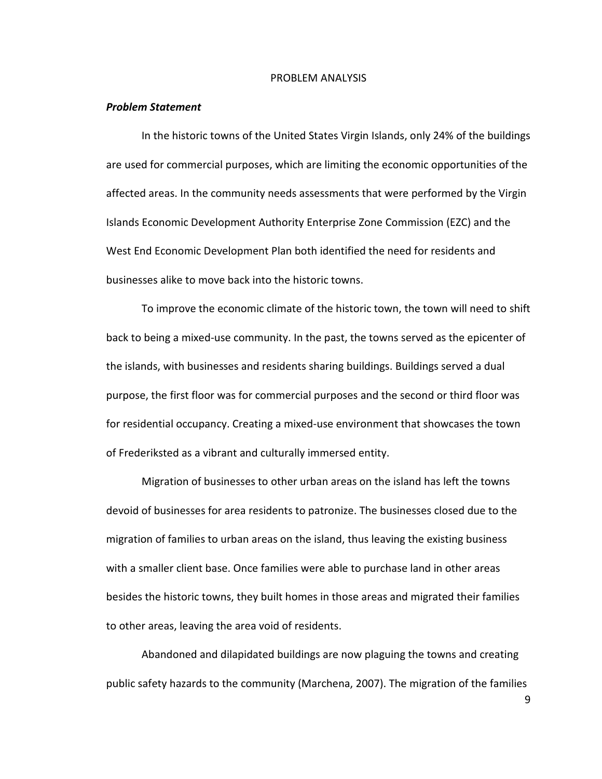#### PROBLEM ANALYSIS

#### *Problem Statement*

In the historic towns of the United States Virgin Islands, only 24% of the buildings are used for commercial purposes, which are limiting the economic opportunities of the affected areas. In the community needs assessments that were performed by the Virgin Islands Economic Development Authority Enterprise Zone Commission (EZC) and the West End Economic Development Plan both identified the need for residents and businesses alike to move back into the historic towns.

To improve the economic climate of the historic town, the town will need to shift back to being a mixed-use community. In the past, the towns served as the epicenter of the islands, with businesses and residents sharing buildings. Buildings served a dual purpose, the first floor was for commercial purposes and the second or third floor was for residential occupancy. Creating a mixed-use environment that showcases the town of Frederiksted as a vibrant and culturally immersed entity.

Migration of businesses to other urban areas on the island has left the towns devoid of businesses for area residents to patronize. The businesses closed due to the migration of families to urban areas on the island, thus leaving the existing business with a smaller client base. Once families were able to purchase land in other areas besides the historic towns, they built homes in those areas and migrated their families to other areas, leaving the area void of residents.

Abandoned and dilapidated buildings are now plaguing the towns and creating public safety hazards to the community (Marchena, 2007). The migration of the families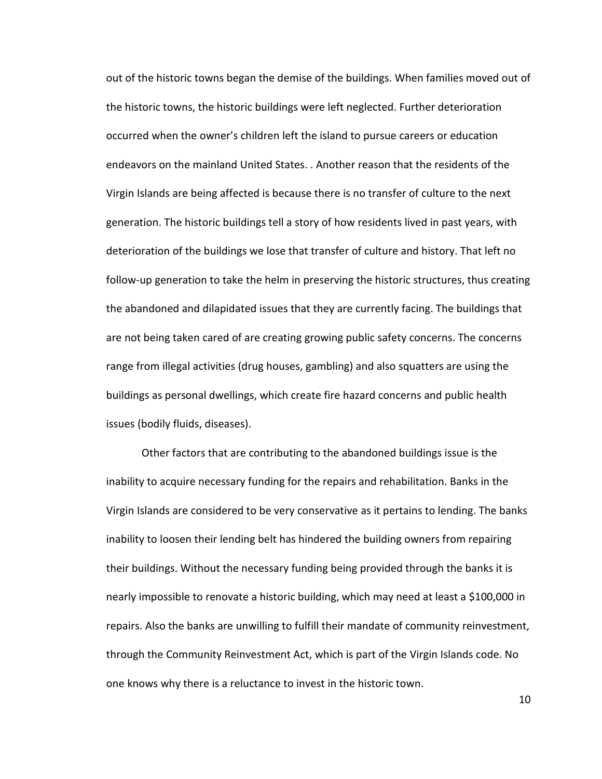out of the historic towns began the demise of the buildings. When families moved out of the historic towns, the historic buildings were left neglected. Further deterioration occurred when the owner's children left the island to pursue careers or education endeavors on the mainland United States. . Another reason that the residents of the Virgin Islands are being affected is because there is no transfer of culture to the next generation. The historic buildings tell a story of how residents lived in past years, with deterioration of the buildings we lose that transfer of culture and history. That left no follow-up generation to take the helm in preserving the historic structures, thus creating the abandoned and dilapidated issues that they are currently facing. The buildings that are not being taken cared of are creating growing public safety concerns. The concerns range from illegal activities (drug houses, gambling) and also squatters are using the buildings as personal dwellings, which create fire hazard concerns and public health issues (bodily fluids, diseases).

Other factors that are contributing to the abandoned buildings issue is the inability to acquire necessary funding for the repairs and rehabilitation. Banks in the Virgin Islands are considered to be very conservative as it pertains to lending. The banks inability to loosen their lending belt has hindered the building owners from repairing their buildings. Without the necessary funding being provided through the banks it is nearly impossible to renovate a historic building, which may need at least a \$100,000 in repairs. Also the banks are unwilling to fulfill their mandate of community reinvestment, through the Community Reinvestment Act, which is part of the Virgin Islands code. No one knows why there is a reluctance to invest in the historic town.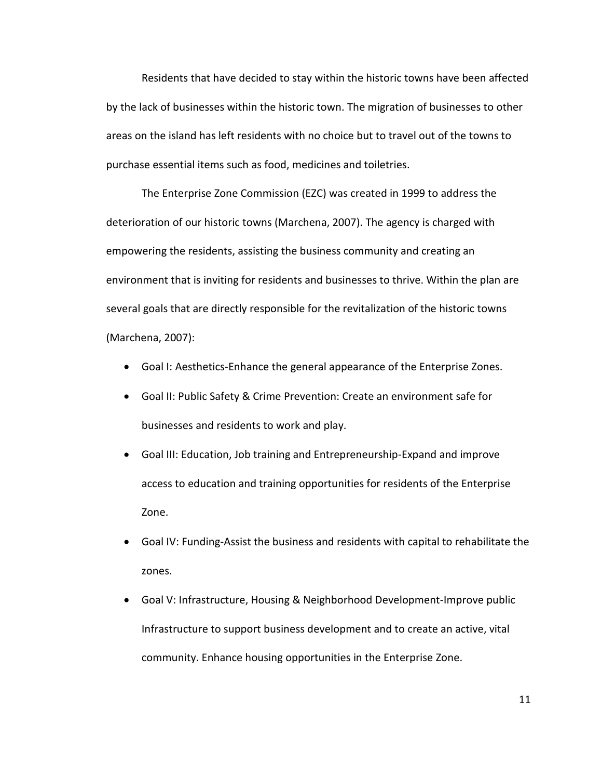Residents that have decided to stay within the historic towns have been affected by the lack of businesses within the historic town. The migration of businesses to other areas on the island has left residents with no choice but to travel out of the towns to purchase essential items such as food, medicines and toiletries.

The Enterprise Zone Commission (EZC) was created in 1999 to address the deterioration of our historic towns (Marchena, 2007). The agency is charged with empowering the residents, assisting the business community and creating an environment that is inviting for residents and businesses to thrive. Within the plan are several goals that are directly responsible for the revitalization of the historic towns (Marchena, 2007):

- Goal I: Aesthetics-Enhance the general appearance of the Enterprise Zones.
- Goal II: Public Safety & Crime Prevention: Create an environment safe for businesses and residents to work and play.
- Goal III: Education, Job training and Entrepreneurship-Expand and improve access to education and training opportunities for residents of the Enterprise Zone.
- Goal IV: Funding-Assist the business and residents with capital to rehabilitate the zones.
- Goal V: Infrastructure, Housing & Neighborhood Development-Improve public Infrastructure to support business development and to create an active, vital community. Enhance housing opportunities in the Enterprise Zone.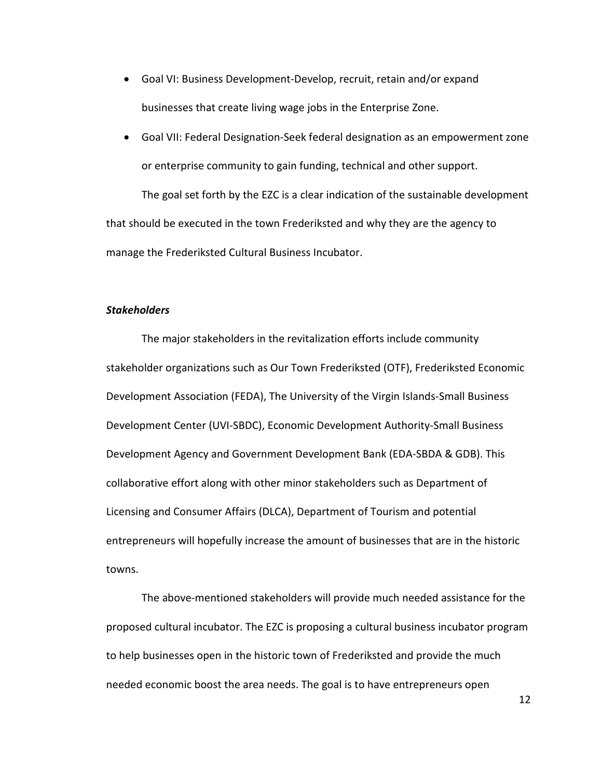- Goal VI: Business Development-Develop, recruit, retain and/or expand businesses that create living wage jobs in the Enterprise Zone.
- Goal VII: Federal Designation-Seek federal designation as an empowerment zone or enterprise community to gain funding, technical and other support.

 The goal set forth by the EZC is a clear indication of the sustainable development that should be executed in the town Frederiksted and why they are the agency to manage the Frederiksted Cultural Business Incubator.

## *Stakeholders*

The major stakeholders in the revitalization efforts include community stakeholder organizations such as Our Town Frederiksted (OTF), Frederiksted Economic Development Association (FEDA), The University of the Virgin Islands-Small Business Development Center (UVI-SBDC), Economic Development Authority-Small Business Development Agency and Government Development Bank (EDA-SBDA & GDB). This collaborative effort along with other minor stakeholders such as Department of Licensing and Consumer Affairs (DLCA), Department of Tourism and potential entrepreneurs will hopefully increase the amount of businesses that are in the historic towns.

The above-mentioned stakeholders will provide much needed assistance for the proposed cultural incubator. The EZC is proposing a cultural business incubator program to help businesses open in the historic town of Frederiksted and provide the much needed economic boost the area needs. The goal is to have entrepreneurs open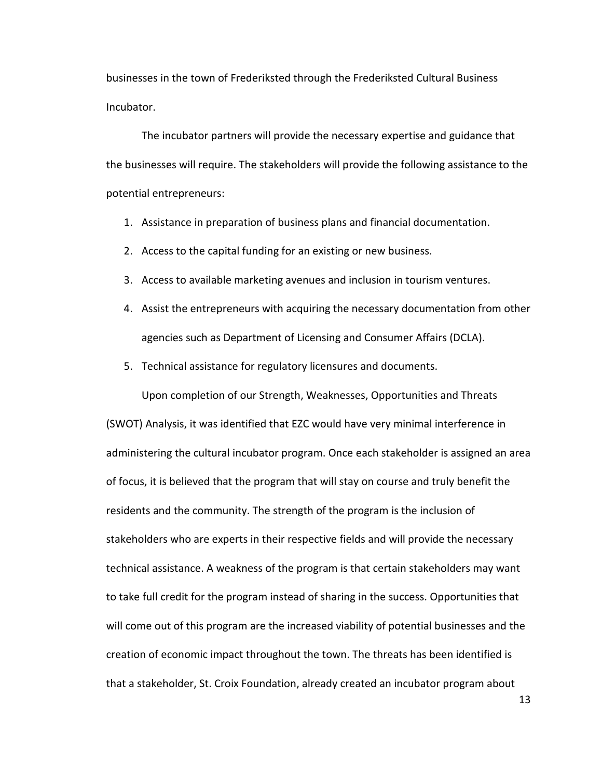businesses in the town of Frederiksted through the Frederiksted Cultural Business Incubator.

 The incubator partners will provide the necessary expertise and guidance that the businesses will require. The stakeholders will provide the following assistance to the potential entrepreneurs:

- 1. Assistance in preparation of business plans and financial documentation.
- 2. Access to the capital funding for an existing or new business.
- 3. Access to available marketing avenues and inclusion in tourism ventures.
- 4. Assist the entrepreneurs with acquiring the necessary documentation from other agencies such as Department of Licensing and Consumer Affairs (DCLA).
- 5. Technical assistance for regulatory licensures and documents.

 Upon completion of our Strength, Weaknesses, Opportunities and Threats (SWOT) Analysis, it was identified that EZC would have very minimal interference in administering the cultural incubator program. Once each stakeholder is assigned an area of focus, it is believed that the program that will stay on course and truly benefit the residents and the community. The strength of the program is the inclusion of stakeholders who are experts in their respective fields and will provide the necessary technical assistance. A weakness of the program is that certain stakeholders may want to take full credit for the program instead of sharing in the success. Opportunities that will come out of this program are the increased viability of potential businesses and the creation of economic impact throughout the town. The threats has been identified is that a stakeholder, St. Croix Foundation, already created an incubator program about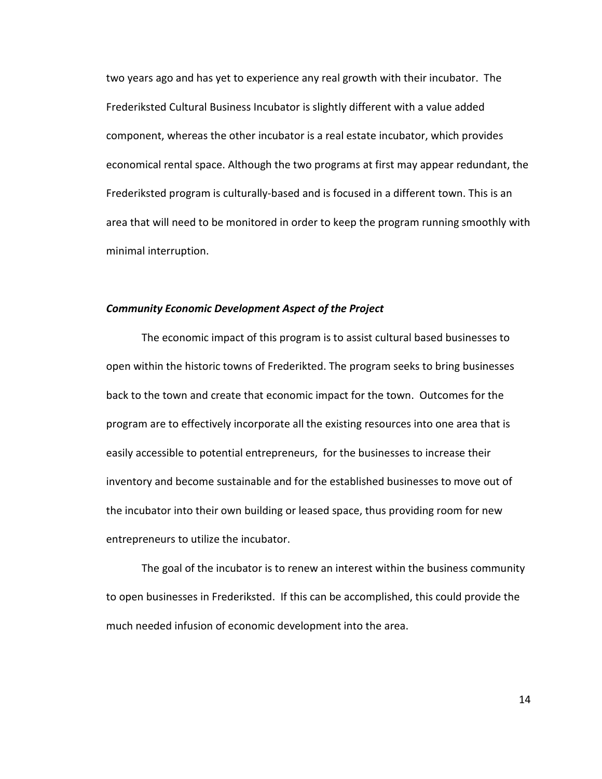two years ago and has yet to experience any real growth with their incubator. The Frederiksted Cultural Business Incubator is slightly different with a value added component, whereas the other incubator is a real estate incubator, which provides economical rental space. Although the two programs at first may appear redundant, the Frederiksted program is culturally-based and is focused in a different town. This is an area that will need to be monitored in order to keep the program running smoothly with minimal interruption.

### *Community Economic Development Aspect of the Project*

 The economic impact of this program is to assist cultural based businesses to open within the historic towns of Frederikted. The program seeks to bring businesses back to the town and create that economic impact for the town. Outcomes for the program are to effectively incorporate all the existing resources into one area that is easily accessible to potential entrepreneurs, for the businesses to increase their inventory and become sustainable and for the established businesses to move out of the incubator into their own building or leased space, thus providing room for new entrepreneurs to utilize the incubator.

 The goal of the incubator is to renew an interest within the business community to open businesses in Frederiksted. If this can be accomplished, this could provide the much needed infusion of economic development into the area.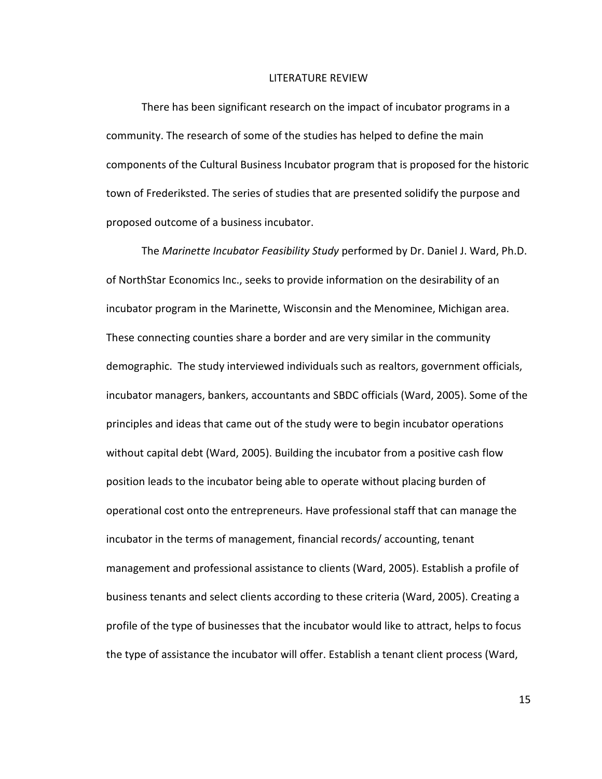#### LITERATURE REVIEW

There has been significant research on the impact of incubator programs in a community. The research of some of the studies has helped to define the main components of the Cultural Business Incubator program that is proposed for the historic town of Frederiksted. The series of studies that are presented solidify the purpose and proposed outcome of a business incubator.

 The *Marinette Incubator Feasibility Study* performed by Dr. Daniel J. Ward, Ph.D. of NorthStar Economics Inc., seeks to provide information on the desirability of an incubator program in the Marinette, Wisconsin and the Menominee, Michigan area. These connecting counties share a border and are very similar in the community demographic. The study interviewed individuals such as realtors, government officials, incubator managers, bankers, accountants and SBDC officials (Ward, 2005). Some of the principles and ideas that came out of the study were to begin incubator operations without capital debt (Ward, 2005). Building the incubator from a positive cash flow position leads to the incubator being able to operate without placing burden of operational cost onto the entrepreneurs. Have professional staff that can manage the incubator in the terms of management, financial records/ accounting, tenant management and professional assistance to clients (Ward, 2005). Establish a profile of business tenants and select clients according to these criteria (Ward, 2005). Creating a profile of the type of businesses that the incubator would like to attract, helps to focus the type of assistance the incubator will offer. Establish a tenant client process (Ward,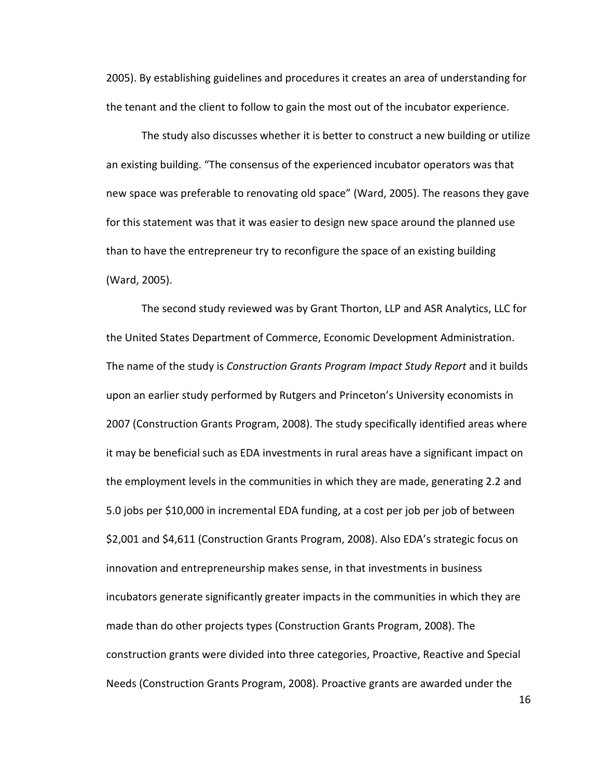2005). By establishing guidelines and procedures it creates an area of understanding for the tenant and the client to follow to gain the most out of the incubator experience.

The study also discusses whether it is better to construct a new building or utilize an existing building. "The consensus of the experienced incubator operators was that new space was preferable to renovating old space" (Ward, 2005). The reasons they gave for this statement was that it was easier to design new space around the planned use than to have the entrepreneur try to reconfigure the space of an existing building (Ward, 2005).

The second study reviewed was by Grant Thorton, LLP and ASR Analytics, LLC for the United States Department of Commerce, Economic Development Administration. The name of the study is *Construction Grants Program Impact Study Report* and it builds upon an earlier study performed by Rutgers and Princeton's University economists in 2007 (Construction Grants Program, 2008). The study specifically identified areas where it may be beneficial such as EDA investments in rural areas have a significant impact on the employment levels in the communities in which they are made, generating 2.2 and 5.0 jobs per \$10,000 in incremental EDA funding, at a cost per job per job of between \$2,001 and \$4,611 (Construction Grants Program, 2008). Also EDA's strategic focus on innovation and entrepreneurship makes sense, in that investments in business incubators generate significantly greater impacts in the communities in which they are made than do other projects types (Construction Grants Program, 2008). The construction grants were divided into three categories, Proactive, Reactive and Special Needs (Construction Grants Program, 2008). Proactive grants are awarded under the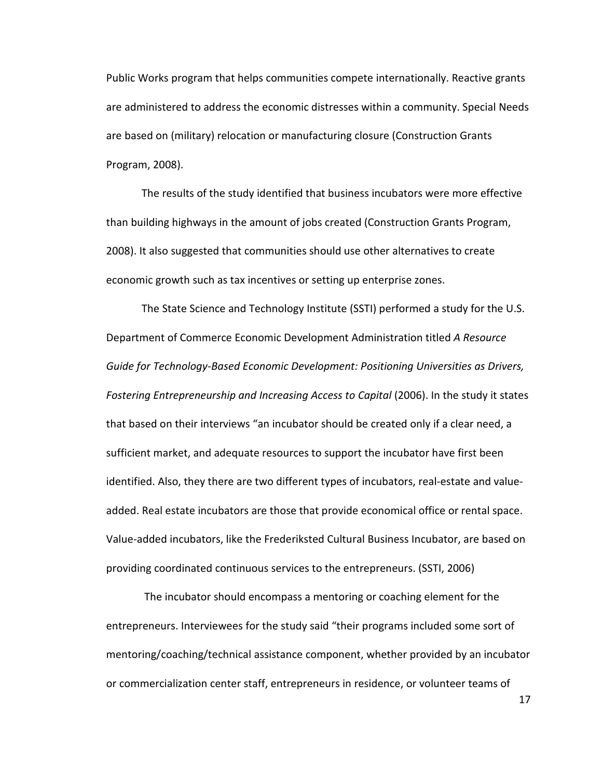Public Works program that helps communities compete internationally. Reactive grants are administered to address the economic distresses within a community. Special Needs are based on (military) relocation or manufacturing closure (Construction Grants Program, 2008).

 The results of the study identified that business incubators were more effective than building highways in the amount of jobs created (Construction Grants Program, 2008). It also suggested that communities should use other alternatives to create economic growth such as tax incentives or setting up enterprise zones.

The State Science and Technology Institute (SSTI) performed a study for the U.S. Department of Commerce Economic Development Administration titled *A Resource Guide for Technology-Based Economic Development: Positioning Universities as Drivers,*  Fostering Entrepreneurship and Increasing Access to Capital (2006). In the study it states that based on their interviews "an incubator should be created only if a clear need, a sufficient market, and adequate resources to support the incubator have first been identified. Also, they there are two different types of incubators, real-estate and valueadded. Real estate incubators are those that provide economical office or rental space. Value-added incubators, like the Frederiksted Cultural Business Incubator, are based on providing coordinated continuous services to the entrepreneurs. (SSTI, 2006)

 The incubator should encompass a mentoring or coaching element for the entrepreneurs. Interviewees for the study said "their programs included some sort of mentoring/coaching/technical assistance component, whether provided by an incubator or commercialization center staff, entrepreneurs in residence, or volunteer teams of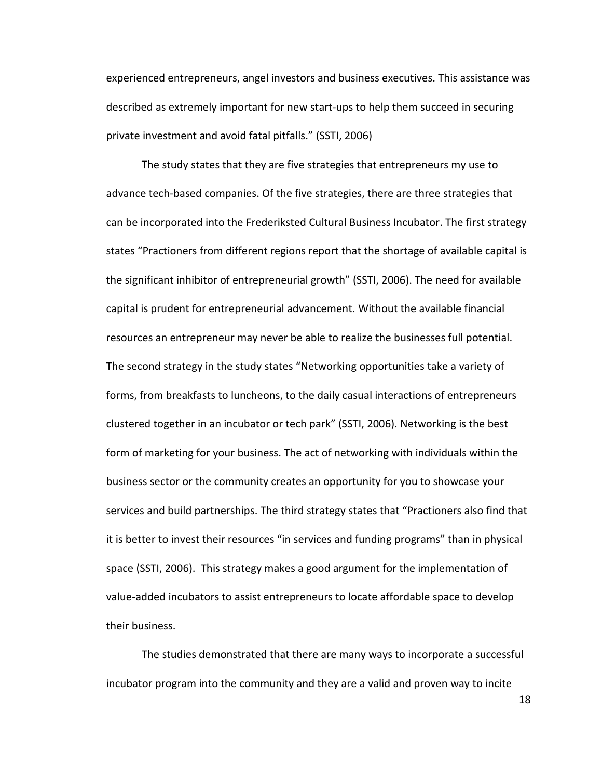experienced entrepreneurs, angel investors and business executives. This assistance was described as extremely important for new start-ups to help them succeed in securing private investment and avoid fatal pitfalls." (SSTI, 2006)

 The study states that they are five strategies that entrepreneurs my use to advance tech-based companies. Of the five strategies, there are three strategies that can be incorporated into the Frederiksted Cultural Business Incubator. The first strategy states "Practioners from different regions report that the shortage of available capital is the significant inhibitor of entrepreneurial growth" (SSTI, 2006). The need for available capital is prudent for entrepreneurial advancement. Without the available financial resources an entrepreneur may never be able to realize the businesses full potential. The second strategy in the study states "Networking opportunities take a variety of forms, from breakfasts to luncheons, to the daily casual interactions of entrepreneurs clustered together in an incubator or tech park" (SSTI, 2006). Networking is the best form of marketing for your business. The act of networking with individuals within the business sector or the community creates an opportunity for you to showcase your services and build partnerships. The third strategy states that "Practioners also find that it is better to invest their resources "in services and funding programs" than in physical space (SSTI, 2006). This strategy makes a good argument for the implementation of value-added incubators to assist entrepreneurs to locate affordable space to develop their business.

 The studies demonstrated that there are many ways to incorporate a successful incubator program into the community and they are a valid and proven way to incite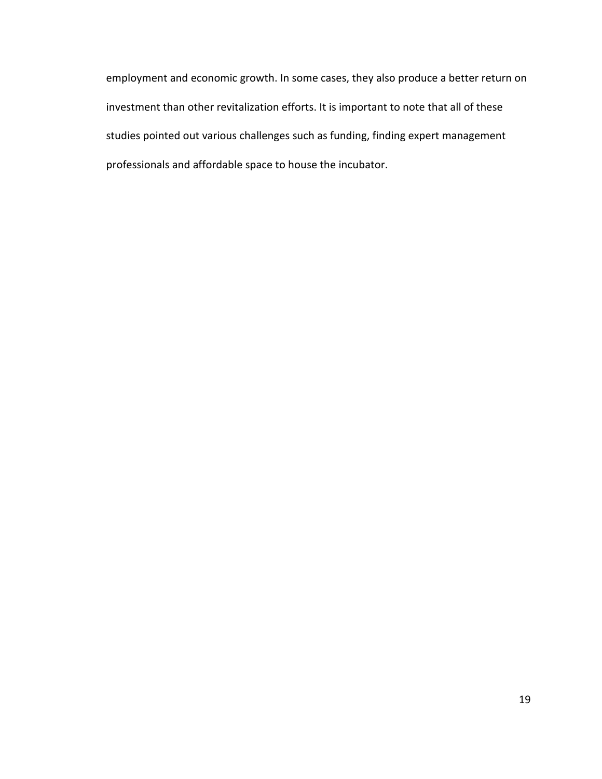employment and economic growth. In some cases, they also produce a better return on investment than other revitalization efforts. It is important to note that all of these studies pointed out various challenges such as funding, finding expert management professionals and affordable space to house the incubator.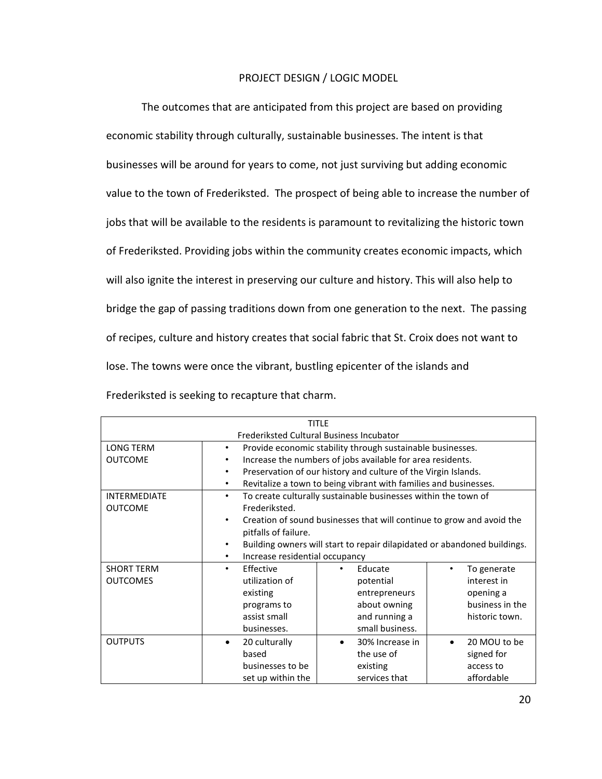# PROJECT DESIGN / LOGIC MODEL

 The outcomes that are anticipated from this project are based on providing economic stability through culturally, sustainable businesses. The intent is that businesses will be around for years to come, not just surviving but adding economic value to the town of Frederiksted. The prospect of being able to increase the number of jobs that will be available to the residents is paramount to revitalizing the historic town of Frederiksted. Providing jobs within the community creates economic impacts, which will also ignite the interest in preserving our culture and history. This will also help to bridge the gap of passing traditions down from one generation to the next. The passing of recipes, culture and history creates that social fabric that St. Croix does not want to lose. The towns were once the vibrant, bustling epicenter of the islands and Frederiksted is seeking to recapture that charm.

| <b>TITLE</b>                             |                    |                                                                          |                                                                       |  |                 |  |
|------------------------------------------|--------------------|--------------------------------------------------------------------------|-----------------------------------------------------------------------|--|-----------------|--|
| Frederiksted Cultural Business Incubator |                    |                                                                          |                                                                       |  |                 |  |
| LONG TERM                                | $\bullet$          |                                                                          | Provide economic stability through sustainable businesses.            |  |                 |  |
| <b>OUTCOME</b>                           | $\bullet$          |                                                                          | Increase the numbers of jobs available for area residents.            |  |                 |  |
|                                          | $\bullet$          |                                                                          | Preservation of our history and culture of the Virgin Islands.        |  |                 |  |
|                                          | $\bullet$          |                                                                          | Revitalize a town to being vibrant with families and businesses.      |  |                 |  |
| <b>INTERMEDIATE</b>                      | ٠                  |                                                                          | To create culturally sustainable businesses within the town of        |  |                 |  |
| <b>OUTCOME</b>                           | Frederiksted.      |                                                                          |                                                                       |  |                 |  |
|                                          | ٠                  |                                                                          | Creation of sound businesses that will continue to grow and avoid the |  |                 |  |
|                                          |                    | pitfalls of failure.                                                     |                                                                       |  |                 |  |
|                                          | ٠                  | Building owners will start to repair dilapidated or abandoned buildings. |                                                                       |  |                 |  |
|                                          | ٠                  | Increase residential occupancy                                           |                                                                       |  |                 |  |
| <b>SHORT TERM</b>                        | Effective<br>٠     |                                                                          | Educate                                                               |  | To generate     |  |
| <b>OUTCOMES</b>                          | utilization of     |                                                                          | potential                                                             |  | interest in     |  |
|                                          | existing           |                                                                          | entrepreneurs                                                         |  | opening a       |  |
|                                          | programs to        |                                                                          | about owning                                                          |  | business in the |  |
|                                          | assist small       |                                                                          | and running a                                                         |  | historic town.  |  |
|                                          | businesses.        |                                                                          | small business.                                                       |  |                 |  |
| <b>OUTPUTS</b>                           | 20 culturally<br>٠ |                                                                          | 30% Increase in<br>٠                                                  |  | 20 MOU to be    |  |
|                                          | based              |                                                                          | the use of                                                            |  | signed for      |  |
|                                          |                    | businesses to be                                                         | existing                                                              |  | access to       |  |
|                                          |                    | set up within the                                                        | services that                                                         |  | affordable      |  |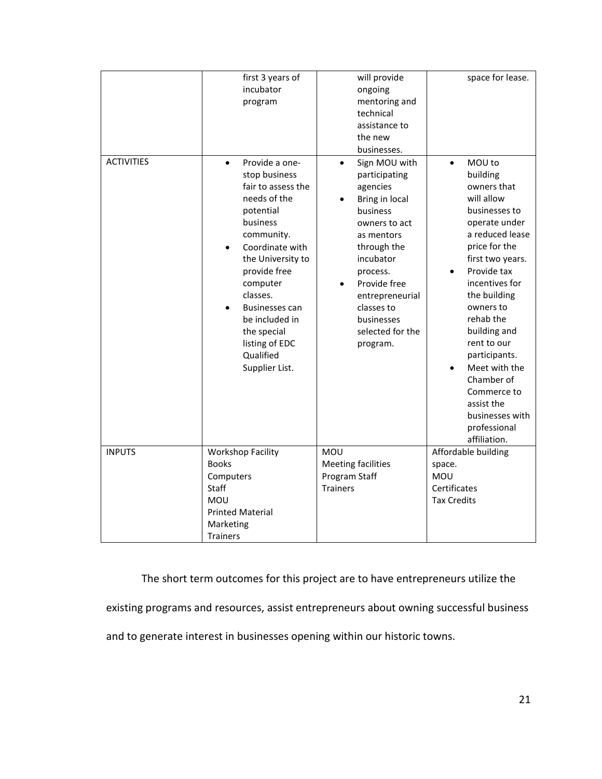|                   | first 3 years of            | will provide               | space for lease.    |
|-------------------|-----------------------------|----------------------------|---------------------|
|                   | incubator                   | ongoing                    |                     |
|                   | program                     | mentoring and              |                     |
|                   |                             | technical                  |                     |
|                   |                             | assistance to              |                     |
|                   |                             | the new                    |                     |
|                   |                             | businesses.                |                     |
| <b>ACTIVITIES</b> | Provide a one-<br>$\bullet$ | Sign MOU with<br>$\bullet$ | MOU to<br>$\bullet$ |
|                   | stop business               | participating              | building            |
|                   | fair to assess the          | agencies                   | owners that         |
|                   | needs of the                | Bring in local             | will allow          |
|                   | potential                   | business                   | businesses to       |
|                   | business                    | owners to act              | operate under       |
|                   | community.                  | as mentors                 | a reduced lease     |
|                   | Coordinate with             | through the                | price for the       |
|                   | the University to           | incubator                  | first two years.    |
|                   | provide free                | process.                   | Provide tax         |
|                   | computer                    | Provide free               | incentives for      |
|                   | classes.                    | entrepreneurial            | the building        |
|                   | <b>Businesses can</b>       | classes to                 | owners to           |
|                   | be included in              | businesses                 | rehab the           |
|                   |                             |                            | building and        |
|                   | the special                 | selected for the           | rent to our         |
|                   | listing of EDC              | program.                   |                     |
|                   | Qualified                   |                            | participants.       |
|                   | Supplier List.              |                            | Meet with the       |
|                   |                             |                            | Chamber of          |
|                   |                             |                            | Commerce to         |
|                   |                             |                            | assist the          |
|                   |                             |                            | businesses with     |
|                   |                             |                            | professional        |
|                   |                             |                            | affiliation.        |
| <b>INPUTS</b>     | <b>Workshop Facility</b>    | MOU                        | Affordable building |
|                   | <b>Books</b>                | <b>Meeting facilities</b>  | space.              |
|                   | Computers                   | Program Staff              | <b>MOU</b>          |
|                   | Staff                       | <b>Trainers</b>            | Certificates        |
|                   | MOU                         |                            | <b>Tax Credits</b>  |
|                   | <b>Printed Material</b>     |                            |                     |
|                   | Marketing                   |                            |                     |
|                   | <b>Trainers</b>             |                            |                     |

The short term outcomes for this project are to have entrepreneurs utilize the

existing programs and resources, assist entrepreneurs about owning successful business

and to generate interest in businesses opening within our historic towns.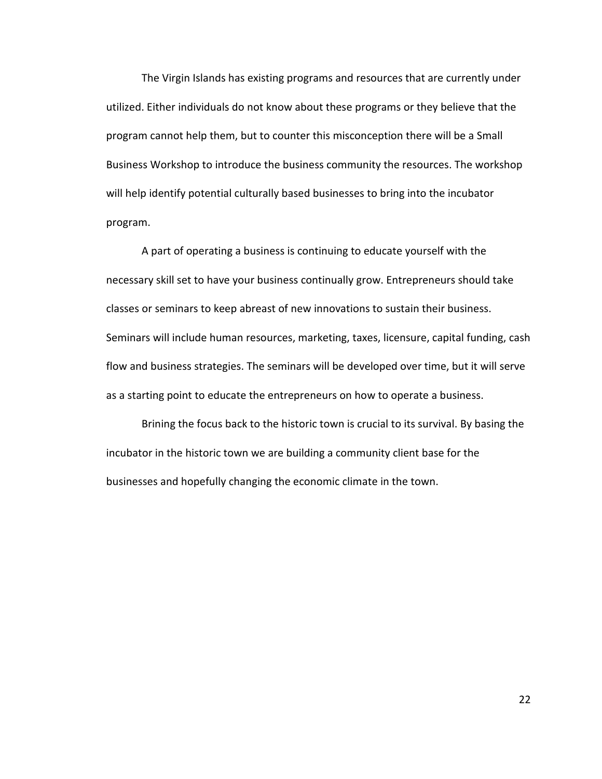The Virgin Islands has existing programs and resources that are currently under utilized. Either individuals do not know about these programs or they believe that the program cannot help them, but to counter this misconception there will be a Small Business Workshop to introduce the business community the resources. The workshop will help identify potential culturally based businesses to bring into the incubator program.

 A part of operating a business is continuing to educate yourself with the necessary skill set to have your business continually grow. Entrepreneurs should take classes or seminars to keep abreast of new innovations to sustain their business. Seminars will include human resources, marketing, taxes, licensure, capital funding, cash flow and business strategies. The seminars will be developed over time, but it will serve as a starting point to educate the entrepreneurs on how to operate a business.

Brining the focus back to the historic town is crucial to its survival. By basing the incubator in the historic town we are building a community client base for the businesses and hopefully changing the economic climate in the town.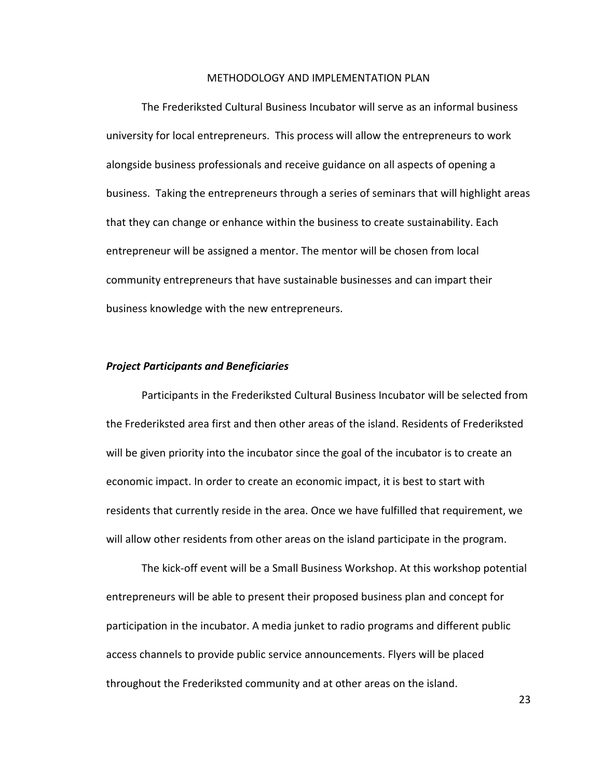#### METHODOLOGY AND IMPLEMENTATION PLAN

 The Frederiksted Cultural Business Incubator will serve as an informal business university for local entrepreneurs. This process will allow the entrepreneurs to work alongside business professionals and receive guidance on all aspects of opening a business. Taking the entrepreneurs through a series of seminars that will highlight areas that they can change or enhance within the business to create sustainability. Each entrepreneur will be assigned a mentor. The mentor will be chosen from local community entrepreneurs that have sustainable businesses and can impart their business knowledge with the new entrepreneurs.

#### *Project Participants and Beneficiaries*

Participants in the Frederiksted Cultural Business Incubator will be selected from the Frederiksted area first and then other areas of the island. Residents of Frederiksted will be given priority into the incubator since the goal of the incubator is to create an economic impact. In order to create an economic impact, it is best to start with residents that currently reside in the area. Once we have fulfilled that requirement, we will allow other residents from other areas on the island participate in the program.

The kick-off event will be a Small Business Workshop. At this workshop potential entrepreneurs will be able to present their proposed business plan and concept for participation in the incubator. A media junket to radio programs and different public access channels to provide public service announcements. Flyers will be placed throughout the Frederiksted community and at other areas on the island.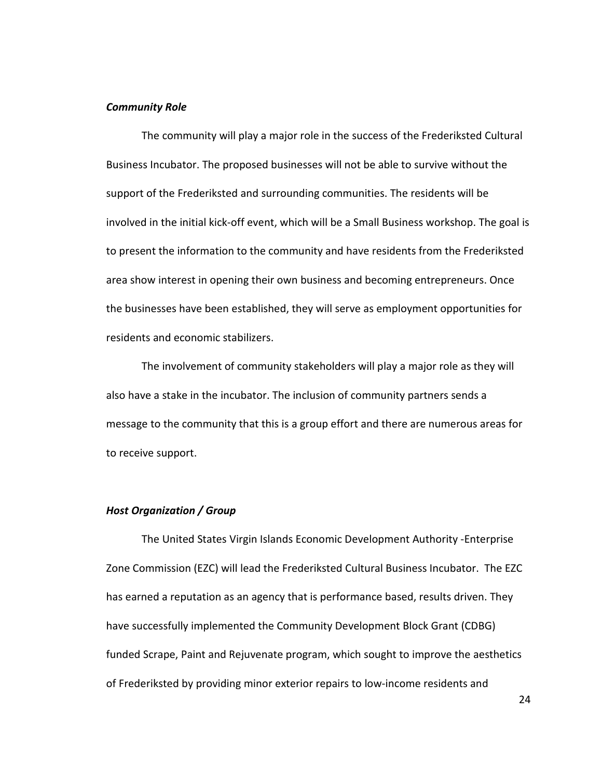#### *Community Role*

The community will play a major role in the success of the Frederiksted Cultural Business Incubator. The proposed businesses will not be able to survive without the support of the Frederiksted and surrounding communities. The residents will be involved in the initial kick-off event, which will be a Small Business workshop. The goal is to present the information to the community and have residents from the Frederiksted area show interest in opening their own business and becoming entrepreneurs. Once the businesses have been established, they will serve as employment opportunities for residents and economic stabilizers.

The involvement of community stakeholders will play a major role as they will also have a stake in the incubator. The inclusion of community partners sends a message to the community that this is a group effort and there are numerous areas for to receive support.

## *Host Organization / Group*

The United States Virgin Islands Economic Development Authority -Enterprise Zone Commission (EZC) will lead the Frederiksted Cultural Business Incubator. The EZC has earned a reputation as an agency that is performance based, results driven. They have successfully implemented the Community Development Block Grant (CDBG) funded Scrape, Paint and Rejuvenate program, which sought to improve the aesthetics of Frederiksted by providing minor exterior repairs to low-income residents and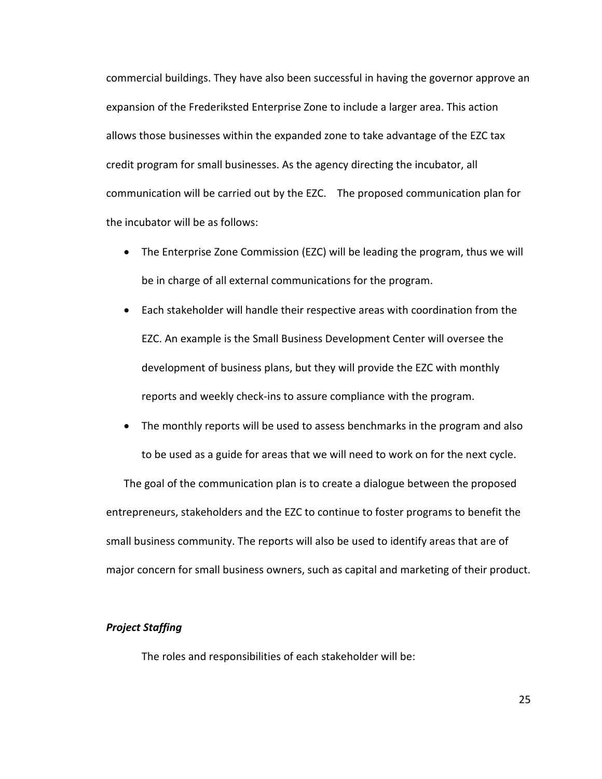commercial buildings. They have also been successful in having the governor approve an expansion of the Frederiksted Enterprise Zone to include a larger area. This action allows those businesses within the expanded zone to take advantage of the EZC tax credit program for small businesses. As the agency directing the incubator, all communication will be carried out by the EZC. The proposed communication plan for the incubator will be as follows:

- The Enterprise Zone Commission (EZC) will be leading the program, thus we will be in charge of all external communications for the program.
- Each stakeholder will handle their respective areas with coordination from the EZC. An example is the Small Business Development Center will oversee the development of business plans, but they will provide the EZC with monthly reports and weekly check-ins to assure compliance with the program.
- The monthly reports will be used to assess benchmarks in the program and also to be used as a guide for areas that we will need to work on for the next cycle.

The goal of the communication plan is to create a dialogue between the proposed entrepreneurs, stakeholders and the EZC to continue to foster programs to benefit the small business community. The reports will also be used to identify areas that are of major concern for small business owners, such as capital and marketing of their product.

## *Project Staffing*

The roles and responsibilities of each stakeholder will be: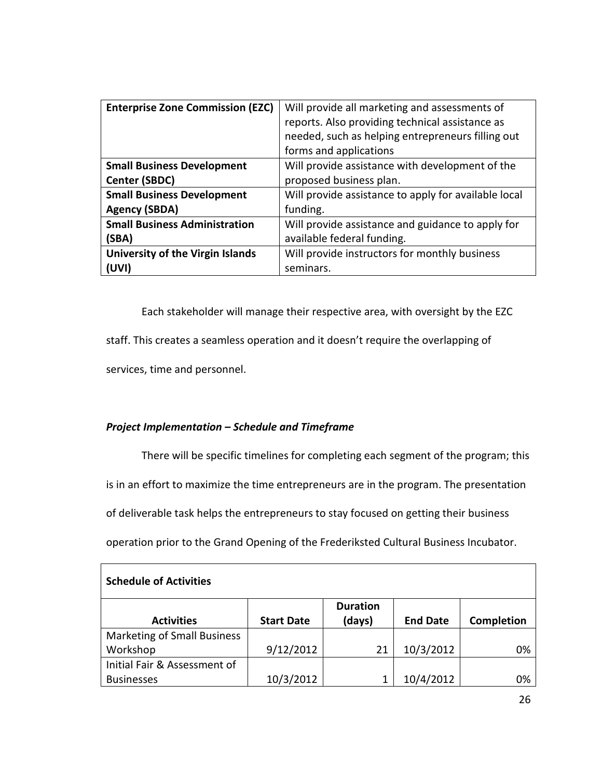| <b>Enterprise Zone Commission (EZC)</b> | Will provide all marketing and assessments of        |
|-----------------------------------------|------------------------------------------------------|
|                                         | reports. Also providing technical assistance as      |
|                                         | needed, such as helping entrepreneurs filling out    |
|                                         | forms and applications                               |
| <b>Small Business Development</b>       | Will provide assistance with development of the      |
| Center (SBDC)                           | proposed business plan.                              |
| <b>Small Business Development</b>       | Will provide assistance to apply for available local |
| <b>Agency (SBDA)</b>                    | funding.                                             |
| <b>Small Business Administration</b>    | Will provide assistance and guidance to apply for    |
| (SBA)                                   | available federal funding.                           |
| University of the Virgin Islands        | Will provide instructors for monthly business        |
| (UVI)                                   | seminars.                                            |

 Each stakeholder will manage their respective area, with oversight by the EZC staff. This creates a seamless operation and it doesn't require the overlapping of services, time and personnel.

# *Project Implementation – Schedule and Timeframe*

There will be specific timelines for completing each segment of the program; this

is in an effort to maximize the time entrepreneurs are in the program. The presentation

of deliverable task helps the entrepreneurs to stay focused on getting their business

operation prior to the Grand Opening of the Frederiksted Cultural Business Incubator.

| <b>Schedule of Activities</b>      |                   |                 |                 |            |  |  |  |  |
|------------------------------------|-------------------|-----------------|-----------------|------------|--|--|--|--|
|                                    |                   | <b>Duration</b> |                 |            |  |  |  |  |
| <b>Activities</b>                  | <b>Start Date</b> | (days)          | <b>End Date</b> | Completion |  |  |  |  |
| <b>Marketing of Small Business</b> |                   |                 |                 |            |  |  |  |  |
| Workshop                           | 9/12/2012         | 21              | 10/3/2012       | 0%         |  |  |  |  |
| Initial Fair & Assessment of       |                   |                 |                 |            |  |  |  |  |
| <b>Businesses</b>                  | 10/3/2012         |                 | 10/4/2012       | 0%         |  |  |  |  |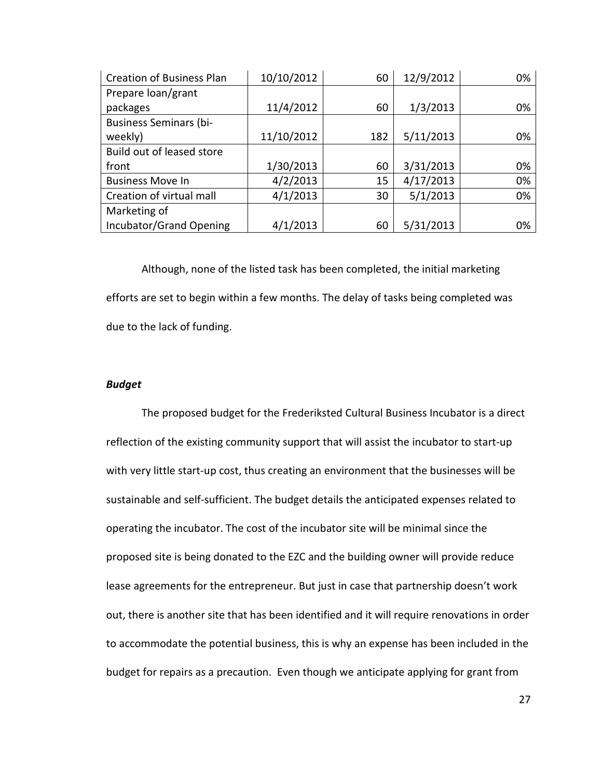| <b>Creation of Business Plan</b> | 10/10/2012 | 60  | 12/9/2012 | 0% |
|----------------------------------|------------|-----|-----------|----|
| Prepare loan/grant               |            |     |           |    |
| packages                         | 11/4/2012  | 60  | 1/3/2013  | 0% |
| <b>Business Seminars (bi-</b>    |            |     |           |    |
| weekly)                          | 11/10/2012 | 182 | 5/11/2013 | 0% |
| Build out of leased store        |            |     |           |    |
| front                            | 1/30/2013  | 60  | 3/31/2013 | 0% |
| <b>Business Move In</b>          | 4/2/2013   | 15  | 4/17/2013 | 0% |
| Creation of virtual mall         | 4/1/2013   | 30  | 5/1/2013  | 0% |
| Marketing of                     |            |     |           |    |
| Incubator/Grand Opening          | 4/1/2013   | 60  | 5/31/2013 | 0% |

 Although, none of the listed task has been completed, the initial marketing efforts are set to begin within a few months. The delay of tasks being completed was due to the lack of funding.

### *Budget*

The proposed budget for the Frederiksted Cultural Business Incubator is a direct reflection of the existing community support that will assist the incubator to start-up with very little start-up cost, thus creating an environment that the businesses will be sustainable and self-sufficient. The budget details the anticipated expenses related to operating the incubator. The cost of the incubator site will be minimal since the proposed site is being donated to the EZC and the building owner will provide reduce lease agreements for the entrepreneur. But just in case that partnership doesn't work out, there is another site that has been identified and it will require renovations in order to accommodate the potential business, this is why an expense has been included in the budget for repairs as a precaution. Even though we anticipate applying for grant from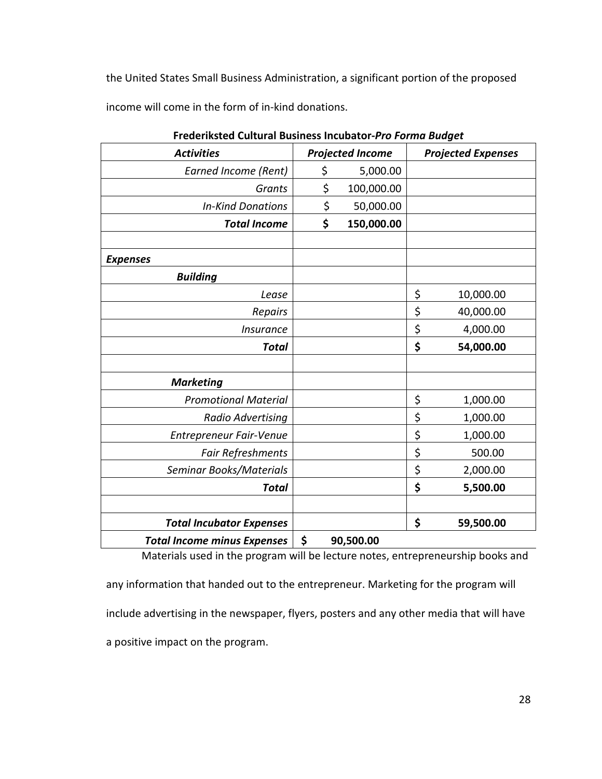the United States Small Business Administration, a significant portion of the proposed income will come in the form of in-kind donations.

| <b>Activities</b>                  |    | <b>Projected Income</b> | <b>Projected Expenses</b> |
|------------------------------------|----|-------------------------|---------------------------|
| <b>Earned Income (Rent)</b>        | \$ | 5,000.00                |                           |
| <b>Grants</b>                      | \$ | 100,000.00              |                           |
| <b>In-Kind Donations</b>           | \$ | 50,000.00               |                           |
| <b>Total Income</b>                | \$ | 150,000.00              |                           |
|                                    |    |                         |                           |
| <b>Expenses</b>                    |    |                         |                           |
| <b>Building</b>                    |    |                         |                           |
| Lease                              |    |                         | \$<br>10,000.00           |
| Repairs                            |    |                         | \$<br>40,000.00           |
| <i><b>Insurance</b></i>            |    |                         | \$<br>4,000.00            |
| <b>Total</b>                       |    |                         | \$<br>54,000.00           |
|                                    |    |                         |                           |
| <b>Marketing</b>                   |    |                         |                           |
| <b>Promotional Material</b>        |    |                         | \$<br>1,000.00            |
| Radio Advertising                  |    |                         | \$<br>1,000.00            |
| Entrepreneur Fair-Venue            |    |                         | \$<br>1,000.00            |
| Fair Refreshments                  |    |                         | \$<br>500.00              |
| Seminar Books/Materials            |    |                         | \$<br>2,000.00            |
| <b>Total</b>                       |    |                         | \$<br>5,500.00            |
|                                    |    |                         |                           |
| <b>Total Incubator Expenses</b>    |    |                         | \$<br>59,500.00           |
| <b>Total Income minus Expenses</b> | \$ | 90,500.00               |                           |

**Frederiksted Cultural Business Incubator-***Pro Forma Budget* 

Materials used in the program will be lecture notes, entrepreneurship books and

any information that handed out to the entrepreneur. Marketing for the program will include advertising in the newspaper, flyers, posters and any other media that will have a positive impact on the program.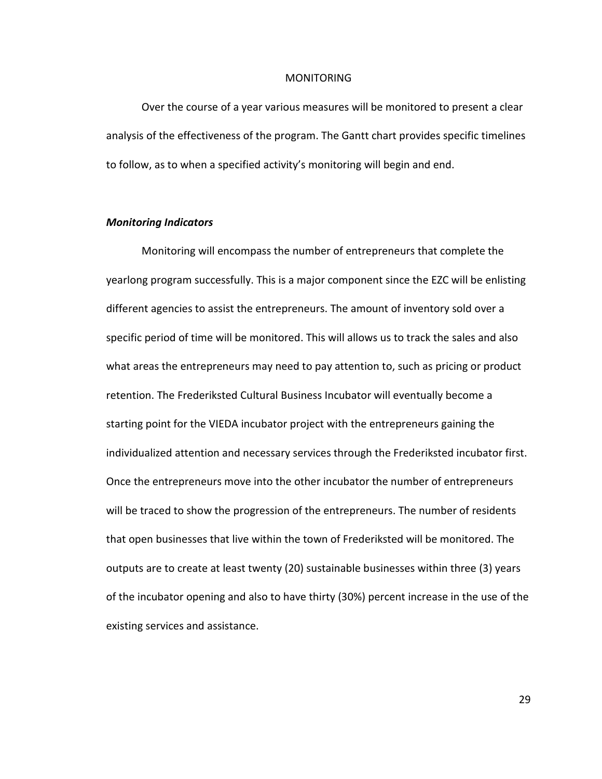#### MONITORING

Over the course of a year various measures will be monitored to present a clear analysis of the effectiveness of the program. The Gantt chart provides specific timelines to follow, as to when a specified activity's monitoring will begin and end.

## *Monitoring Indicators*

Monitoring will encompass the number of entrepreneurs that complete the yearlong program successfully. This is a major component since the EZC will be enlisting different agencies to assist the entrepreneurs. The amount of inventory sold over a specific period of time will be monitored. This will allows us to track the sales and also what areas the entrepreneurs may need to pay attention to, such as pricing or product retention. The Frederiksted Cultural Business Incubator will eventually become a starting point for the VIEDA incubator project with the entrepreneurs gaining the individualized attention and necessary services through the Frederiksted incubator first. Once the entrepreneurs move into the other incubator the number of entrepreneurs will be traced to show the progression of the entrepreneurs. The number of residents that open businesses that live within the town of Frederiksted will be monitored. The outputs are to create at least twenty (20) sustainable businesses within three (3) years of the incubator opening and also to have thirty (30%) percent increase in the use of the existing services and assistance.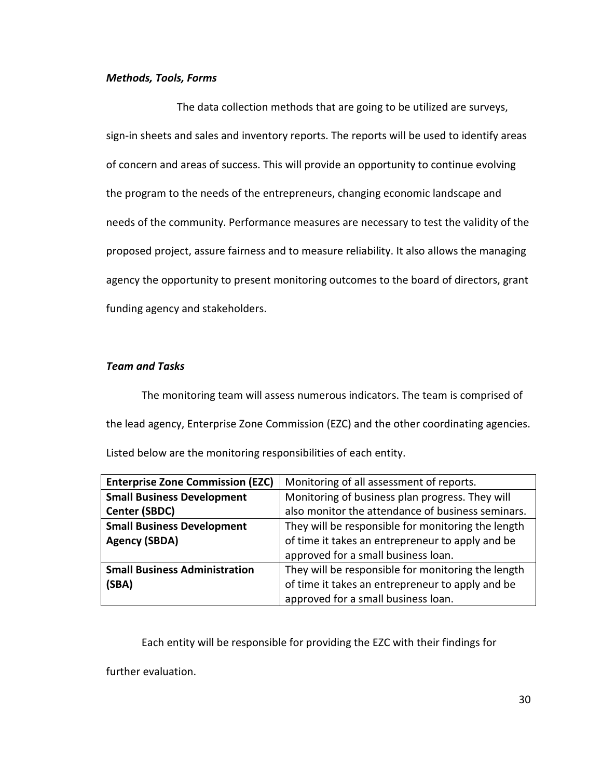## *Methods, Tools, Forms*

 The data collection methods that are going to be utilized are surveys, sign-in sheets and sales and inventory reports. The reports will be used to identify areas of concern and areas of success. This will provide an opportunity to continue evolving the program to the needs of the entrepreneurs, changing economic landscape and needs of the community. Performance measures are necessary to test the validity of the proposed project, assure fairness and to measure reliability. It also allows the managing agency the opportunity to present monitoring outcomes to the board of directors, grant funding agency and stakeholders.

## *Team and Tasks*

 The monitoring team will assess numerous indicators. The team is comprised of the lead agency, Enterprise Zone Commission (EZC) and the other coordinating agencies.

Listed below are the monitoring responsibilities of each entity.

| <b>Enterprise Zone Commission (EZC)</b> | Monitoring of all assessment of reports.           |  |  |
|-----------------------------------------|----------------------------------------------------|--|--|
| <b>Small Business Development</b>       | Monitoring of business plan progress. They will    |  |  |
| Center (SBDC)                           | also monitor the attendance of business seminars.  |  |  |
| <b>Small Business Development</b>       | They will be responsible for monitoring the length |  |  |
| <b>Agency (SBDA)</b>                    | of time it takes an entrepreneur to apply and be   |  |  |
|                                         | approved for a small business loan.                |  |  |
| <b>Small Business Administration</b>    | They will be responsible for monitoring the length |  |  |
| (SBA)                                   | of time it takes an entrepreneur to apply and be   |  |  |
|                                         | approved for a small business loan.                |  |  |

Each entity will be responsible for providing the EZC with their findings for

further evaluation.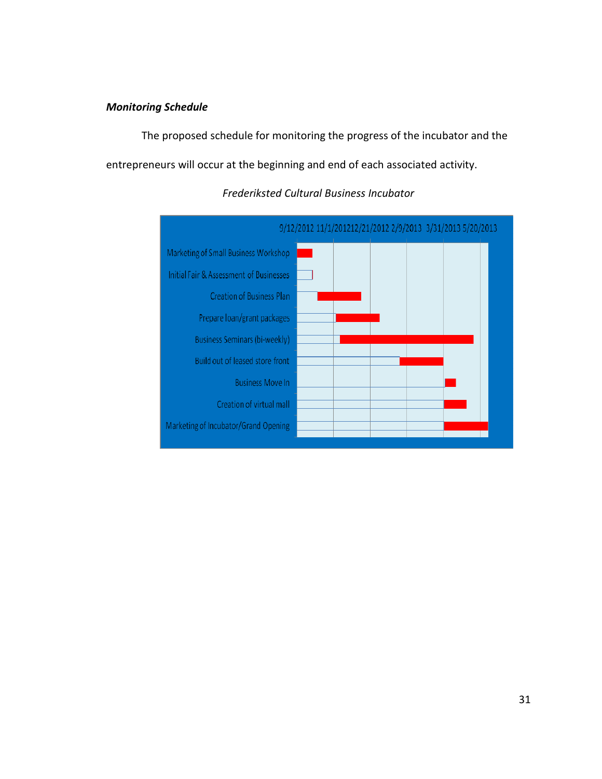## *Monitoring Schedule*

The proposed schedule for monitoring the progress of the incubator and the entrepreneurs will occur at the beginning and end of each associated activity.



# *Frederiksted Cultural Business Incubator*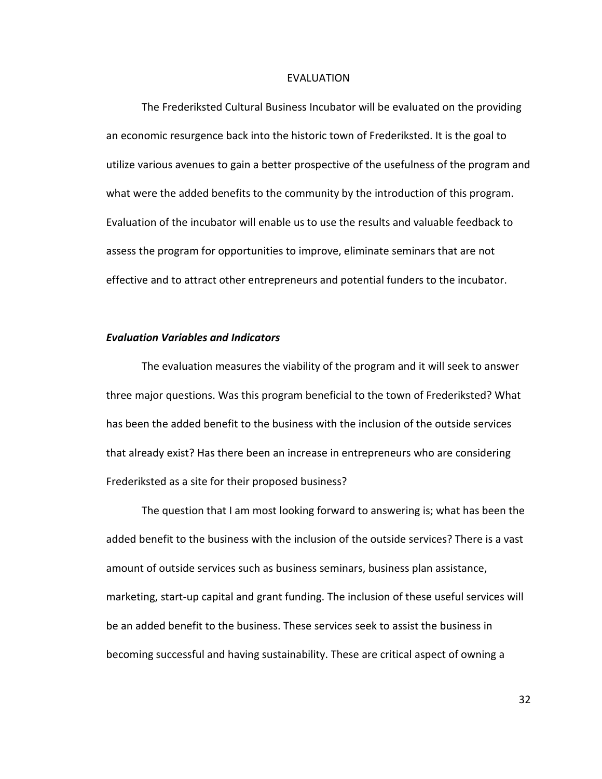#### EVALUATION

 The Frederiksted Cultural Business Incubator will be evaluated on the providing an economic resurgence back into the historic town of Frederiksted. It is the goal to utilize various avenues to gain a better prospective of the usefulness of the program and what were the added benefits to the community by the introduction of this program. Evaluation of the incubator will enable us to use the results and valuable feedback to assess the program for opportunities to improve, eliminate seminars that are not effective and to attract other entrepreneurs and potential funders to the incubator.

### *Evaluation Variables and Indicators*

The evaluation measures the viability of the program and it will seek to answer three major questions. Was this program beneficial to the town of Frederiksted? What has been the added benefit to the business with the inclusion of the outside services that already exist? Has there been an increase in entrepreneurs who are considering Frederiksted as a site for their proposed business?

The question that I am most looking forward to answering is; what has been the added benefit to the business with the inclusion of the outside services? There is a vast amount of outside services such as business seminars, business plan assistance, marketing, start-up capital and grant funding. The inclusion of these useful services will be an added benefit to the business. These services seek to assist the business in becoming successful and having sustainability. These are critical aspect of owning a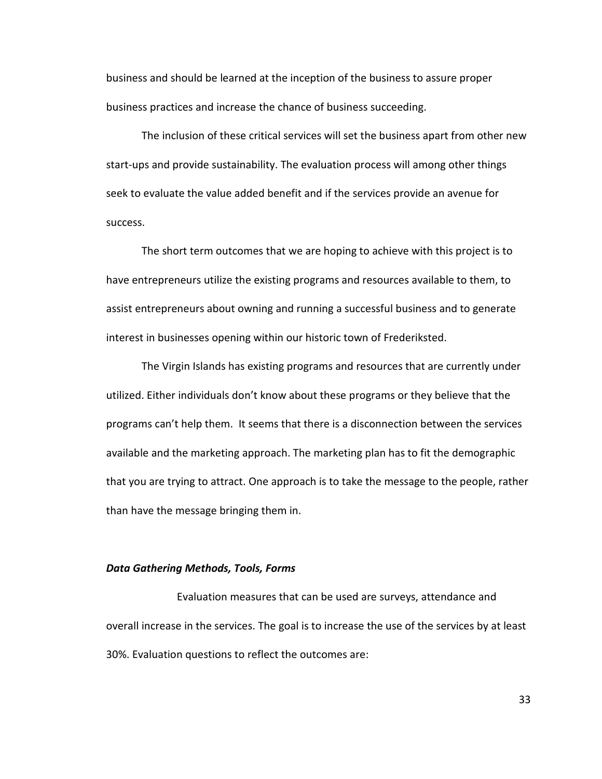business and should be learned at the inception of the business to assure proper business practices and increase the chance of business succeeding.

The inclusion of these critical services will set the business apart from other new start-ups and provide sustainability. The evaluation process will among other things seek to evaluate the value added benefit and if the services provide an avenue for success.

The short term outcomes that we are hoping to achieve with this project is to have entrepreneurs utilize the existing programs and resources available to them, to assist entrepreneurs about owning and running a successful business and to generate interest in businesses opening within our historic town of Frederiksted.

The Virgin Islands has existing programs and resources that are currently under utilized. Either individuals don't know about these programs or they believe that the programs can't help them. It seems that there is a disconnection between the services available and the marketing approach. The marketing plan has to fit the demographic that you are trying to attract. One approach is to take the message to the people, rather than have the message bringing them in.

## *Data Gathering Methods, Tools, Forms*

 Evaluation measures that can be used are surveys, attendance and overall increase in the services. The goal is to increase the use of the services by at least 30%. Evaluation questions to reflect the outcomes are: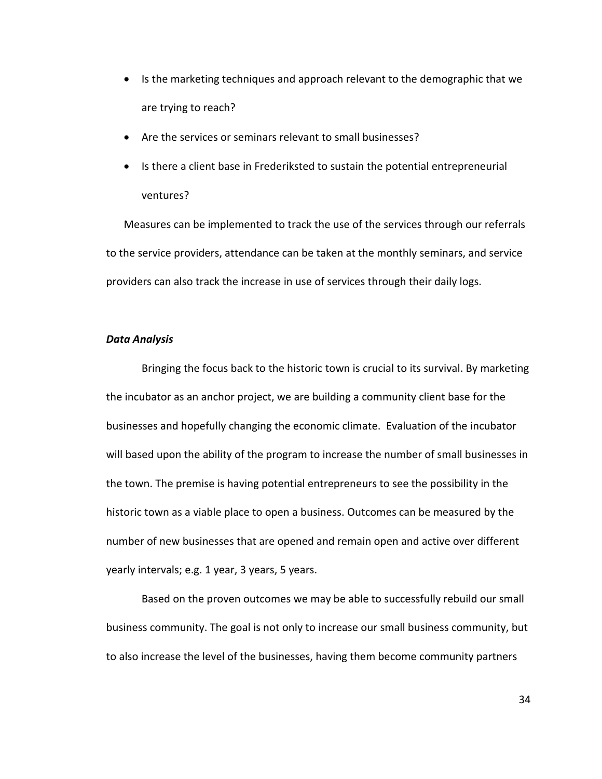- Is the marketing techniques and approach relevant to the demographic that we are trying to reach?
- Are the services or seminars relevant to small businesses?
- Is there a client base in Frederiksted to sustain the potential entrepreneurial ventures?

Measures can be implemented to track the use of the services through our referrals to the service providers, attendance can be taken at the monthly seminars, and service providers can also track the increase in use of services through their daily logs.

#### *Data Analysis*

 Bringing the focus back to the historic town is crucial to its survival. By marketing the incubator as an anchor project, we are building a community client base for the businesses and hopefully changing the economic climate. Evaluation of the incubator will based upon the ability of the program to increase the number of small businesses in the town. The premise is having potential entrepreneurs to see the possibility in the historic town as a viable place to open a business. Outcomes can be measured by the number of new businesses that are opened and remain open and active over different yearly intervals; e.g. 1 year, 3 years, 5 years.

 Based on the proven outcomes we may be able to successfully rebuild our small business community. The goal is not only to increase our small business community, but to also increase the level of the businesses, having them become community partners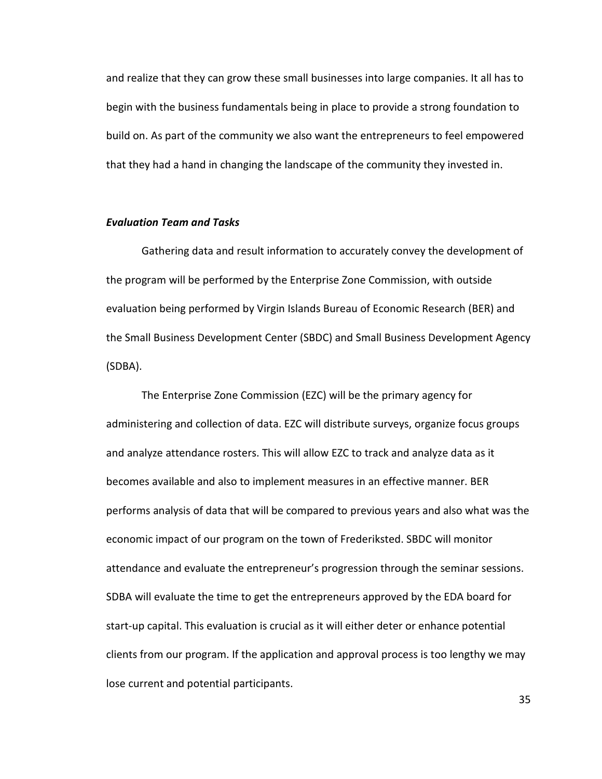and realize that they can grow these small businesses into large companies. It all has to begin with the business fundamentals being in place to provide a strong foundation to build on. As part of the community we also want the entrepreneurs to feel empowered that they had a hand in changing the landscape of the community they invested in.

### *Evaluation Team and Tasks*

 Gathering data and result information to accurately convey the development of the program will be performed by the Enterprise Zone Commission, with outside evaluation being performed by Virgin Islands Bureau of Economic Research (BER) and the Small Business Development Center (SBDC) and Small Business Development Agency (SDBA).

 The Enterprise Zone Commission (EZC) will be the primary agency for administering and collection of data. EZC will distribute surveys, organize focus groups and analyze attendance rosters. This will allow EZC to track and analyze data as it becomes available and also to implement measures in an effective manner. BER performs analysis of data that will be compared to previous years and also what was the economic impact of our program on the town of Frederiksted. SBDC will monitor attendance and evaluate the entrepreneur's progression through the seminar sessions. SDBA will evaluate the time to get the entrepreneurs approved by the EDA board for start-up capital. This evaluation is crucial as it will either deter or enhance potential clients from our program. If the application and approval process is too lengthy we may lose current and potential participants.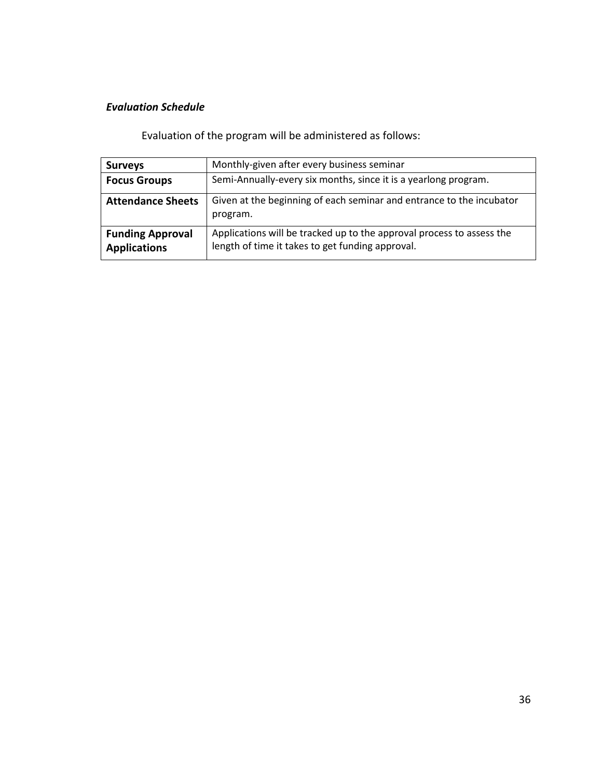# *Evaluation Schedule*

Evaluation of the program will be administered as follows:

| <b>Surveys</b>                                 | Monthly-given after every business seminar                                                                                |
|------------------------------------------------|---------------------------------------------------------------------------------------------------------------------------|
| <b>Focus Groups</b>                            | Semi-Annually-every six months, since it is a yearlong program.                                                           |
| <b>Attendance Sheets</b>                       | Given at the beginning of each seminar and entrance to the incubator<br>program.                                          |
| <b>Funding Approval</b><br><b>Applications</b> | Applications will be tracked up to the approval process to assess the<br>length of time it takes to get funding approval. |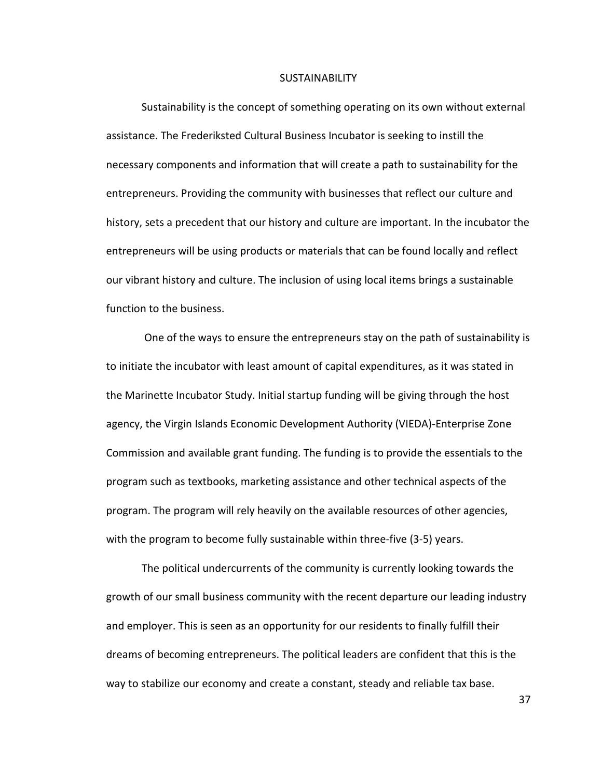#### **SUSTAINABILITY**

Sustainability is the concept of something operating on its own without external assistance. The Frederiksted Cultural Business Incubator is seeking to instill the necessary components and information that will create a path to sustainability for the entrepreneurs. Providing the community with businesses that reflect our culture and history, sets a precedent that our history and culture are important. In the incubator the entrepreneurs will be using products or materials that can be found locally and reflect our vibrant history and culture. The inclusion of using local items brings a sustainable function to the business.

 One of the ways to ensure the entrepreneurs stay on the path of sustainability is to initiate the incubator with least amount of capital expenditures, as it was stated in the Marinette Incubator Study. Initial startup funding will be giving through the host agency, the Virgin Islands Economic Development Authority (VIEDA)-Enterprise Zone Commission and available grant funding. The funding is to provide the essentials to the program such as textbooks, marketing assistance and other technical aspects of the program. The program will rely heavily on the available resources of other agencies, with the program to become fully sustainable within three-five (3-5) years.

The political undercurrents of the community is currently looking towards the growth of our small business community with the recent departure our leading industry and employer. This is seen as an opportunity for our residents to finally fulfill their dreams of becoming entrepreneurs. The political leaders are confident that this is the way to stabilize our economy and create a constant, steady and reliable tax base.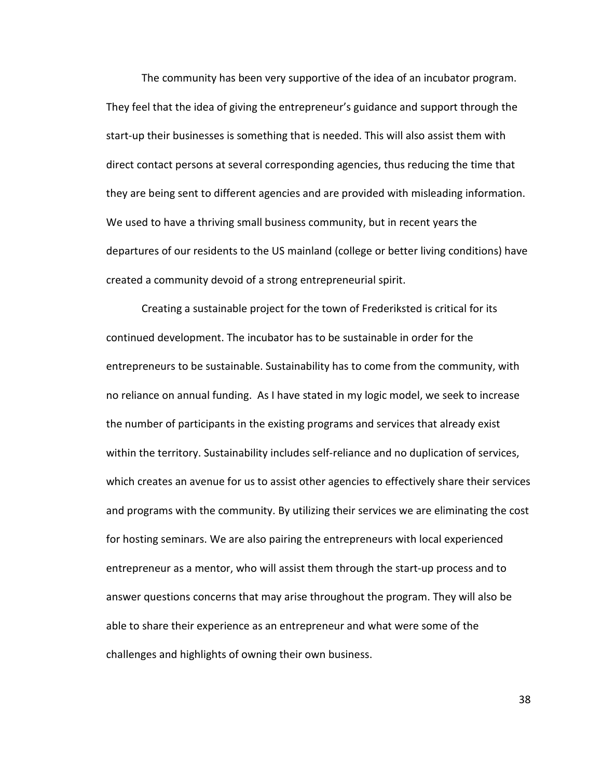The community has been very supportive of the idea of an incubator program. They feel that the idea of giving the entrepreneur's guidance and support through the start-up their businesses is something that is needed. This will also assist them with direct contact persons at several corresponding agencies, thus reducing the time that they are being sent to different agencies and are provided with misleading information. We used to have a thriving small business community, but in recent years the departures of our residents to the US mainland (college or better living conditions) have created a community devoid of a strong entrepreneurial spirit.

Creating a sustainable project for the town of Frederiksted is critical for its continued development. The incubator has to be sustainable in order for the entrepreneurs to be sustainable. Sustainability has to come from the community, with no reliance on annual funding. As I have stated in my logic model, we seek to increase the number of participants in the existing programs and services that already exist within the territory. Sustainability includes self-reliance and no duplication of services, which creates an avenue for us to assist other agencies to effectively share their services and programs with the community. By utilizing their services we are eliminating the cost for hosting seminars. We are also pairing the entrepreneurs with local experienced entrepreneur as a mentor, who will assist them through the start-up process and to answer questions concerns that may arise throughout the program. They will also be able to share their experience as an entrepreneur and what were some of the challenges and highlights of owning their own business.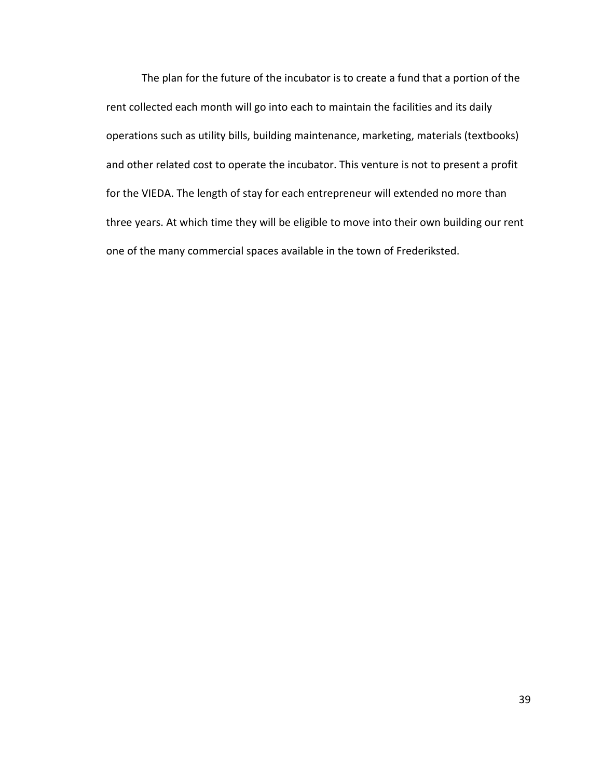The plan for the future of the incubator is to create a fund that a portion of the rent collected each month will go into each to maintain the facilities and its daily operations such as utility bills, building maintenance, marketing, materials (textbooks) and other related cost to operate the incubator. This venture is not to present a profit for the VIEDA. The length of stay for each entrepreneur will extended no more than three years. At which time they will be eligible to move into their own building our rent one of the many commercial spaces available in the town of Frederiksted.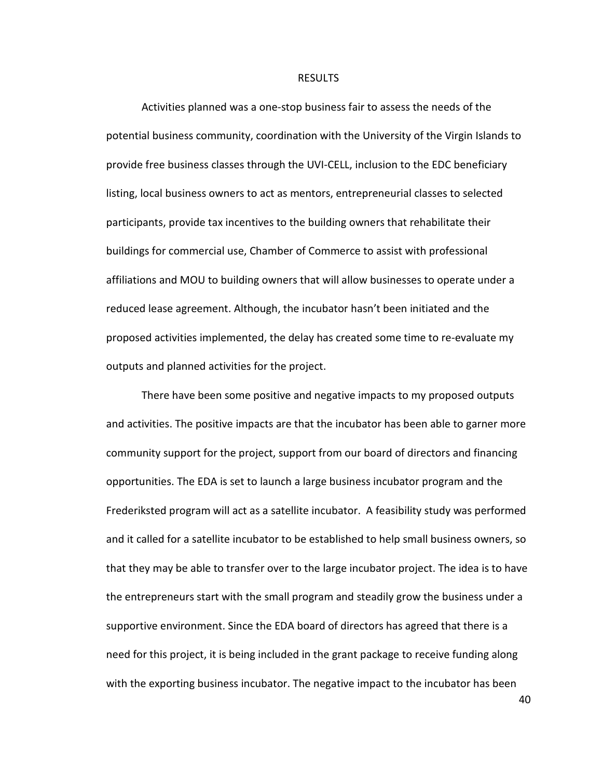#### RESULTS

 Activities planned was a one-stop business fair to assess the needs of the potential business community, coordination with the University of the Virgin Islands to provide free business classes through the UVI-CELL, inclusion to the EDC beneficiary listing, local business owners to act as mentors, entrepreneurial classes to selected participants, provide tax incentives to the building owners that rehabilitate their buildings for commercial use, Chamber of Commerce to assist with professional affiliations and MOU to building owners that will allow businesses to operate under a reduced lease agreement. Although, the incubator hasn't been initiated and the proposed activities implemented, the delay has created some time to re-evaluate my outputs and planned activities for the project.

 There have been some positive and negative impacts to my proposed outputs and activities. The positive impacts are that the incubator has been able to garner more community support for the project, support from our board of directors and financing opportunities. The EDA is set to launch a large business incubator program and the Frederiksted program will act as a satellite incubator. A feasibility study was performed and it called for a satellite incubator to be established to help small business owners, so that they may be able to transfer over to the large incubator project. The idea is to have the entrepreneurs start with the small program and steadily grow the business under a supportive environment. Since the EDA board of directors has agreed that there is a need for this project, it is being included in the grant package to receive funding along with the exporting business incubator. The negative impact to the incubator has been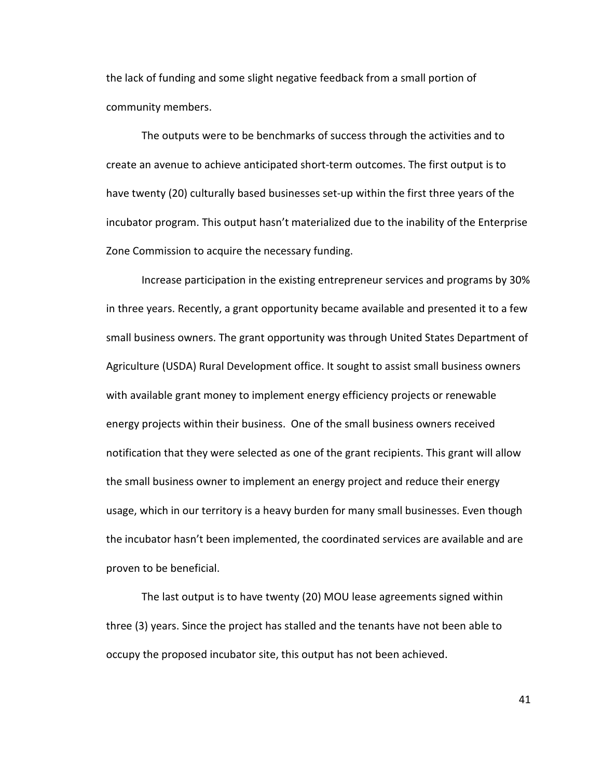the lack of funding and some slight negative feedback from a small portion of community members.

 The outputs were to be benchmarks of success through the activities and to create an avenue to achieve anticipated short-term outcomes. The first output is to have twenty (20) culturally based businesses set-up within the first three years of the incubator program. This output hasn't materialized due to the inability of the Enterprise Zone Commission to acquire the necessary funding.

 Increase participation in the existing entrepreneur services and programs by 30% in three years. Recently, a grant opportunity became available and presented it to a few small business owners. The grant opportunity was through United States Department of Agriculture (USDA) Rural Development office. It sought to assist small business owners with available grant money to implement energy efficiency projects or renewable energy projects within their business. One of the small business owners received notification that they were selected as one of the grant recipients. This grant will allow the small business owner to implement an energy project and reduce their energy usage, which in our territory is a heavy burden for many small businesses. Even though the incubator hasn't been implemented, the coordinated services are available and are proven to be beneficial.

 The last output is to have twenty (20) MOU lease agreements signed within three (3) years. Since the project has stalled and the tenants have not been able to occupy the proposed incubator site, this output has not been achieved.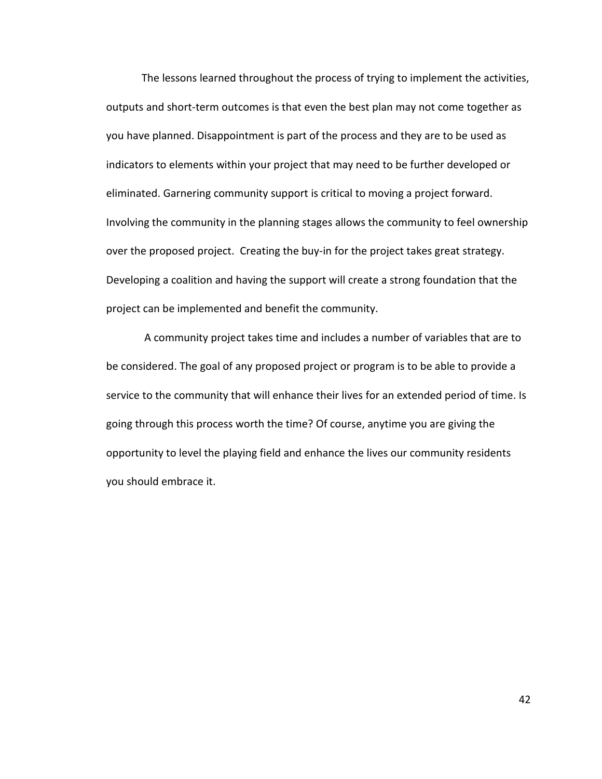The lessons learned throughout the process of trying to implement the activities, outputs and short-term outcomes is that even the best plan may not come together as you have planned. Disappointment is part of the process and they are to be used as indicators to elements within your project that may need to be further developed or eliminated. Garnering community support is critical to moving a project forward. Involving the community in the planning stages allows the community to feel ownership over the proposed project. Creating the buy-in for the project takes great strategy. Developing a coalition and having the support will create a strong foundation that the project can be implemented and benefit the community.

 A community project takes time and includes a number of variables that are to be considered. The goal of any proposed project or program is to be able to provide a service to the community that will enhance their lives for an extended period of time. Is going through this process worth the time? Of course, anytime you are giving the opportunity to level the playing field and enhance the lives our community residents you should embrace it.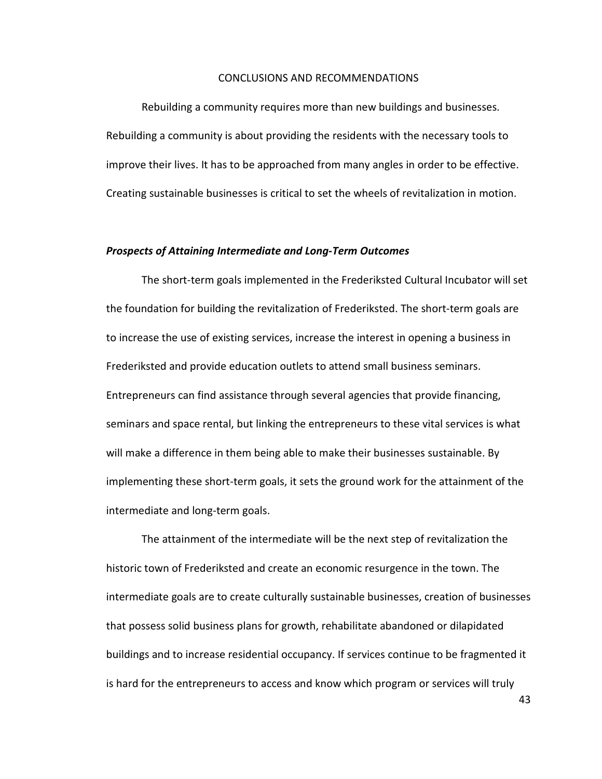#### CONCLUSIONS AND RECOMMENDATIONS

Rebuilding a community requires more than new buildings and businesses. Rebuilding a community is about providing the residents with the necessary tools to improve their lives. It has to be approached from many angles in order to be effective. Creating sustainable businesses is critical to set the wheels of revitalization in motion.

### *Prospects of Attaining Intermediate and Long-Term Outcomes*

The short-term goals implemented in the Frederiksted Cultural Incubator will set the foundation for building the revitalization of Frederiksted. The short-term goals are to increase the use of existing services, increase the interest in opening a business in Frederiksted and provide education outlets to attend small business seminars. Entrepreneurs can find assistance through several agencies that provide financing, seminars and space rental, but linking the entrepreneurs to these vital services is what will make a difference in them being able to make their businesses sustainable. By implementing these short-term goals, it sets the ground work for the attainment of the intermediate and long-term goals.

The attainment of the intermediate will be the next step of revitalization the historic town of Frederiksted and create an economic resurgence in the town. The intermediate goals are to create culturally sustainable businesses, creation of businesses that possess solid business plans for growth, rehabilitate abandoned or dilapidated buildings and to increase residential occupancy. If services continue to be fragmented it is hard for the entrepreneurs to access and know which program or services will truly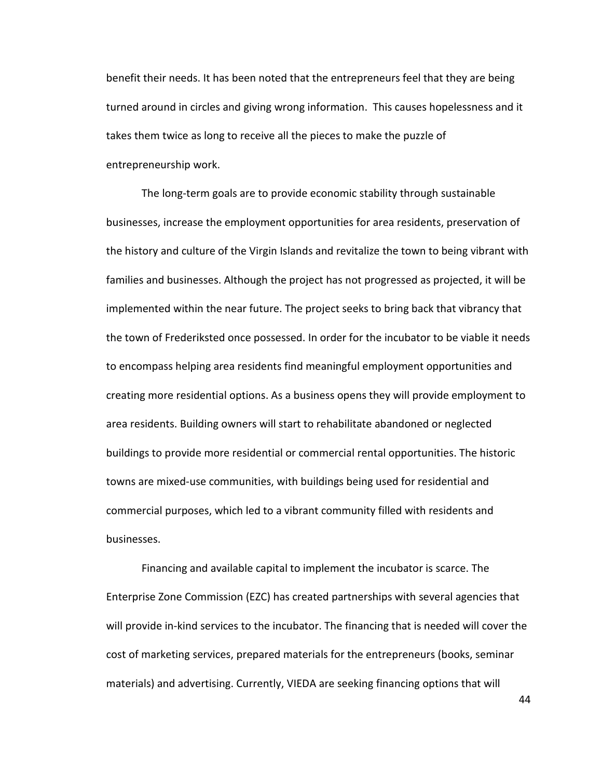benefit their needs. It has been noted that the entrepreneurs feel that they are being turned around in circles and giving wrong information. This causes hopelessness and it takes them twice as long to receive all the pieces to make the puzzle of entrepreneurship work.

The long-term goals are to provide economic stability through sustainable businesses, increase the employment opportunities for area residents, preservation of the history and culture of the Virgin Islands and revitalize the town to being vibrant with families and businesses. Although the project has not progressed as projected, it will be implemented within the near future. The project seeks to bring back that vibrancy that the town of Frederiksted once possessed. In order for the incubator to be viable it needs to encompass helping area residents find meaningful employment opportunities and creating more residential options. As a business opens they will provide employment to area residents. Building owners will start to rehabilitate abandoned or neglected buildings to provide more residential or commercial rental opportunities. The historic towns are mixed-use communities, with buildings being used for residential and commercial purposes, which led to a vibrant community filled with residents and businesses.

 Financing and available capital to implement the incubator is scarce. The Enterprise Zone Commission (EZC) has created partnerships with several agencies that will provide in-kind services to the incubator. The financing that is needed will cover the cost of marketing services, prepared materials for the entrepreneurs (books, seminar materials) and advertising. Currently, VIEDA are seeking financing options that will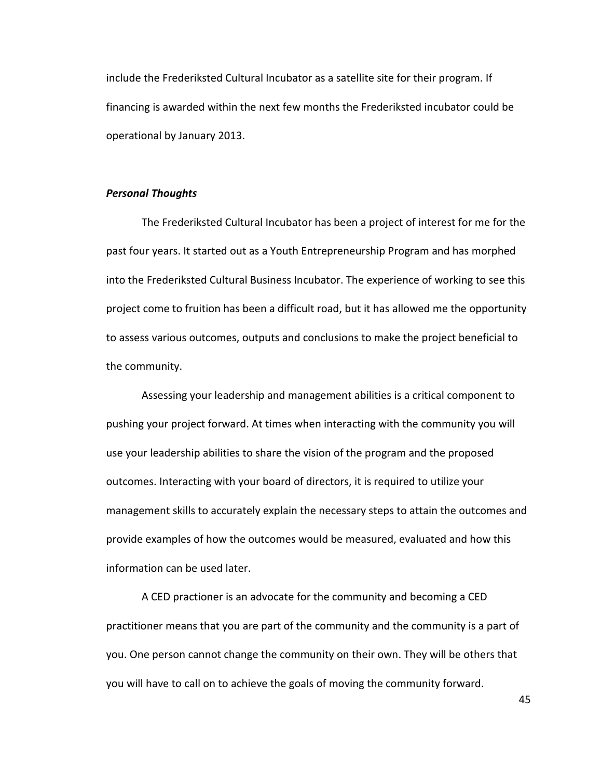include the Frederiksted Cultural Incubator as a satellite site for their program. If financing is awarded within the next few months the Frederiksted incubator could be operational by January 2013.

### *Personal Thoughts*

 The Frederiksted Cultural Incubator has been a project of interest for me for the past four years. It started out as a Youth Entrepreneurship Program and has morphed into the Frederiksted Cultural Business Incubator. The experience of working to see this project come to fruition has been a difficult road, but it has allowed me the opportunity to assess various outcomes, outputs and conclusions to make the project beneficial to the community.

Assessing your leadership and management abilities is a critical component to pushing your project forward. At times when interacting with the community you will use your leadership abilities to share the vision of the program and the proposed outcomes. Interacting with your board of directors, it is required to utilize your management skills to accurately explain the necessary steps to attain the outcomes and provide examples of how the outcomes would be measured, evaluated and how this information can be used later.

 A CED practioner is an advocate for the community and becoming a CED practitioner means that you are part of the community and the community is a part of you. One person cannot change the community on their own. They will be others that you will have to call on to achieve the goals of moving the community forward.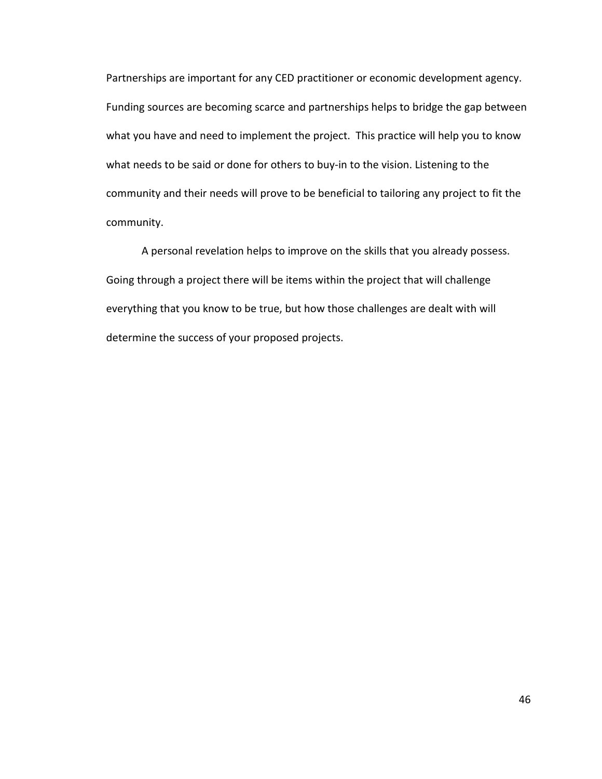Partnerships are important for any CED practitioner or economic development agency. Funding sources are becoming scarce and partnerships helps to bridge the gap between what you have and need to implement the project. This practice will help you to know what needs to be said or done for others to buy-in to the vision. Listening to the community and their needs will prove to be beneficial to tailoring any project to fit the community.

 A personal revelation helps to improve on the skills that you already possess. Going through a project there will be items within the project that will challenge everything that you know to be true, but how those challenges are dealt with will determine the success of your proposed projects.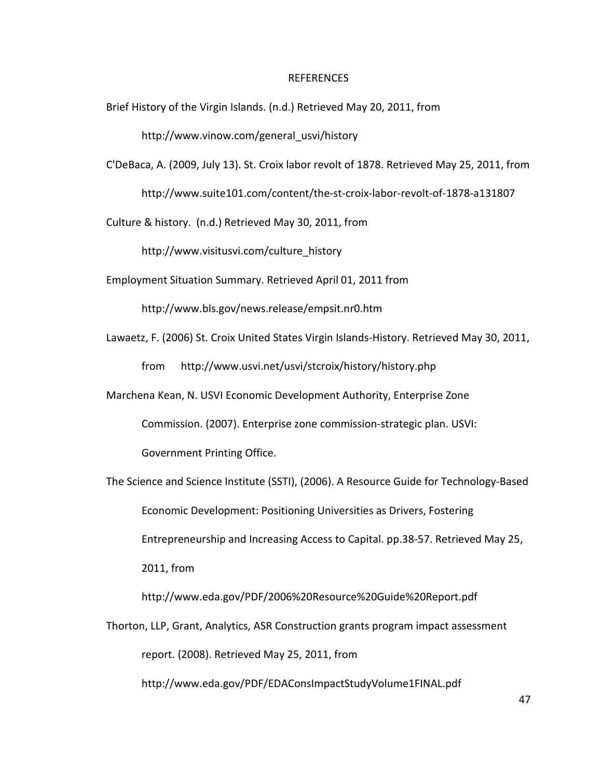#### REFERENCES

Brief History of the Virgin Islands. (n.d.) Retrieved May 20, 2011, from

http://www.vinow.com/general\_usvi/history

C'DeBaca, A. (2009, July 13). St. Croix labor revolt of 1878. Retrieved May 25, 2011, from http://www.suite101.com/content/the-st-croix-labor-revolt-of-1878-a131807

Culture & history. (n.d.) Retrieved May 30, 2011, from

http://www.visitusvi.com/culture\_history

Employment Situation Summary. Retrieved April 01, 2011 from

http://www.bls.gov/news.release/empsit.nr0.htm

Lawaetz, F. (2006) St. Croix United States Virgin Islands-History. Retrieved May 30, 2011,

from http://www.usvi.net/usvi/stcroix/history/history.php

Marchena Kean, N. USVI Economic Development Authority, Enterprise Zone

Commission. (2007). Enterprise zone commission-strategic plan. USVI:

Government Printing Office.

The Science and Science Institute (SSTI), (2006). A Resource Guide for Technology-Based Economic Development: Positioning Universities as Drivers, Fostering Entrepreneurship and Increasing Access to Capital. pp.38-57. Retrieved May 25, 2011, from http://www.eda.gov/PDF/2006%20Resource%20Guide%20Report.pdf Thorton, LLP, Grant, Analytics, ASR Construction grants program impact assessment

report. (2008). Retrieved May 25, 2011, from

http://www.eda.gov/PDF/EDAConsImpactStudyVolume1FINAL.pdf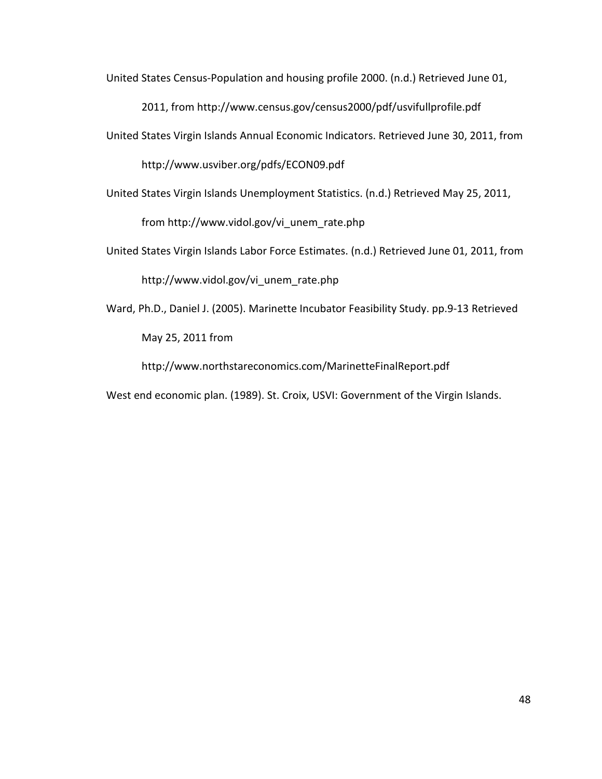United States Census-Population and housing profile 2000. (n.d.) Retrieved June 01,

2011, from http://www.census.gov/census2000/pdf/usvifullprofile.pdf

United States Virgin Islands Annual Economic Indicators. Retrieved June 30, 2011, from

http://www.usviber.org/pdfs/ECON09.pdf

United States Virgin Islands Unemployment Statistics. (n.d.) Retrieved May 25, 2011,

from http://www.vidol.gov/vi\_unem\_rate.php

United States Virgin Islands Labor Force Estimates. (n.d.) Retrieved June 01, 2011, from

http://www.vidol.gov/vi\_unem\_rate.php

Ward, Ph.D., Daniel J. (2005). Marinette Incubator Feasibility Study. pp.9-13 Retrieved May 25, 2011 from

http://www.northstareconomics.com/MarinetteFinalReport.pdf

West end economic plan. (1989). St. Croix, USVI: Government of the Virgin Islands.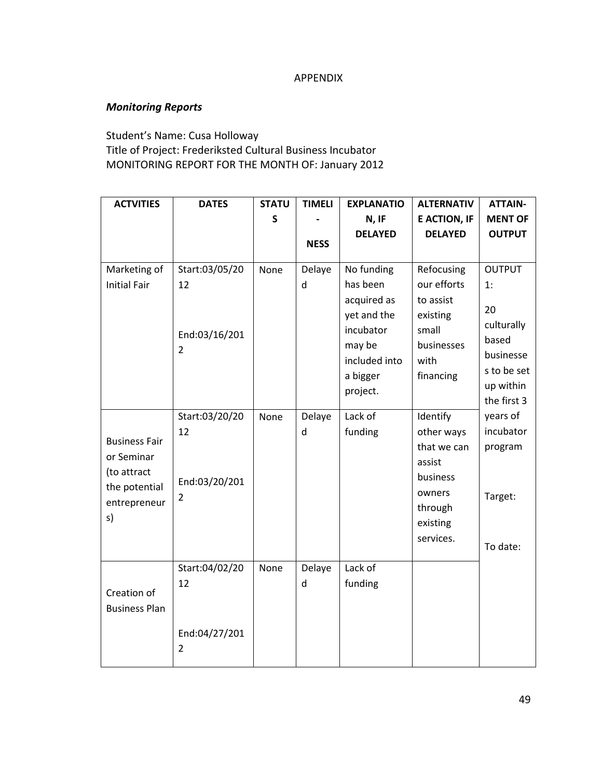# APPENDIX

# *Monitoring Reports*

Student's Name: Cusa Holloway Title of Project: Frederiksted Cultural Business Incubator MONITORING REPORT FOR THE MONTH OF: January 2012

| <b>ACTVITIES</b>                                                                         | <b>DATES</b>                                            | <b>STATU</b> | <b>TIMELI</b> | <b>EXPLANATIO</b>                                                                                        | <b>ALTERNATIV</b>                                                                                         | <b>ATTAIN-</b>                                                                            |
|------------------------------------------------------------------------------------------|---------------------------------------------------------|--------------|---------------|----------------------------------------------------------------------------------------------------------|-----------------------------------------------------------------------------------------------------------|-------------------------------------------------------------------------------------------|
|                                                                                          |                                                         | S            |               | N, IF                                                                                                    | <b>E ACTION, IF</b>                                                                                       | <b>MENT OF</b>                                                                            |
|                                                                                          |                                                         |              | <b>NESS</b>   | <b>DELAYED</b>                                                                                           | <b>DELAYED</b>                                                                                            | <b>OUTPUT</b>                                                                             |
|                                                                                          |                                                         |              |               |                                                                                                          |                                                                                                           |                                                                                           |
| Marketing of<br><b>Initial Fair</b>                                                      | Start:03/05/20<br>12<br>End:03/16/201<br>$\overline{2}$ | None         | Delaye<br>d   | No funding<br>has been<br>acquired as<br>yet and the<br>incubator<br>may be<br>included into<br>a bigger | Refocusing<br>our efforts<br>to assist<br>existing<br>small<br>businesses<br>with<br>financing            | <b>OUTPUT</b><br>1:<br>20<br>culturally<br>based<br>businesse<br>s to be set<br>up within |
| <b>Business Fair</b><br>or Seminar<br>(to attract<br>the potential<br>entrepreneur<br>s) | Start:03/20/20<br>12<br>End:03/20/201<br>$\overline{2}$ | None<br>None | Delaye<br>d   | project.<br>Lack of<br>funding<br>Lack of                                                                | Identify<br>other ways<br>that we can<br>assist<br>business<br>owners<br>through<br>existing<br>services. | the first 3<br>years of<br>incubator<br>program<br>Target:<br>To date:                    |
| Creation of<br><b>Business Plan</b>                                                      | Start:04/02/20<br>12<br>End:04/27/201<br>$\overline{2}$ |              | Delaye<br>d   | funding                                                                                                  |                                                                                                           |                                                                                           |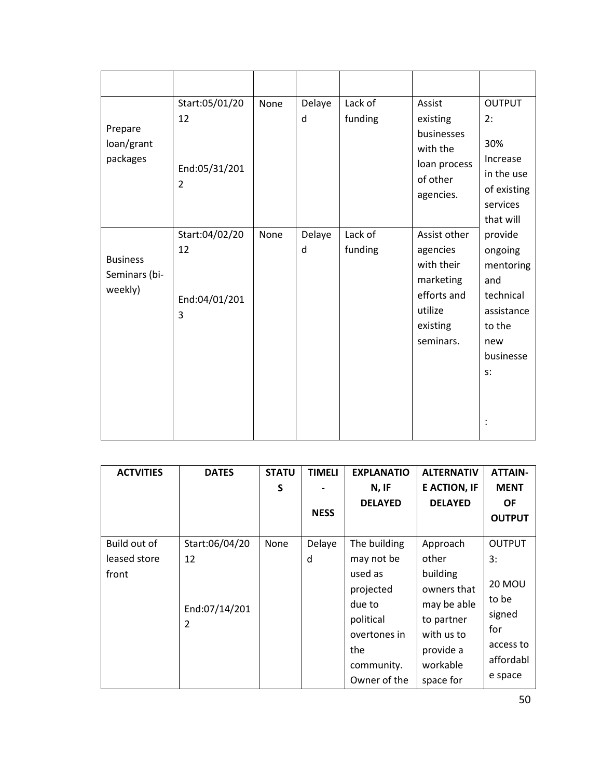| Prepare<br>loan/grant<br>packages           | Start:05/01/20<br>12<br>End:05/31/201<br>$\overline{2}$ | None | Delaye<br>d | Lack of<br>funding | Assist<br>existing<br>businesses<br>with the<br>loan process<br>of other<br>agencies.                  | <b>OUTPUT</b><br>2:<br>30%<br>Increase<br>in the use<br>of existing<br>services<br>that will             |
|---------------------------------------------|---------------------------------------------------------|------|-------------|--------------------|--------------------------------------------------------------------------------------------------------|----------------------------------------------------------------------------------------------------------|
| <b>Business</b><br>Seminars (bi-<br>weekly) | Start:04/02/20<br>12<br>End:04/01/201<br>3              | None | Delaye<br>d | Lack of<br>funding | Assist other<br>agencies<br>with their<br>marketing<br>efforts and<br>utilize<br>existing<br>seminars. | provide<br>ongoing<br>mentoring<br>and<br>technical<br>assistance<br>to the<br>new<br>businesse<br>$S$ : |

| <b>ACTVITIES</b> | <b>DATES</b>   | <b>STATU</b> | <b>TIMELI</b> | <b>EXPLANATIO</b> | <b>ALTERNATIV</b>   | <b>ATTAIN-</b> |
|------------------|----------------|--------------|---------------|-------------------|---------------------|----------------|
|                  |                | S            |               | N, IF             | <b>E ACTION, IF</b> | <b>MENT</b>    |
|                  |                |              |               | <b>DELAYED</b>    | <b>DELAYED</b>      | <b>OF</b>      |
|                  |                |              | <b>NESS</b>   |                   |                     | <b>OUTPUT</b>  |
|                  |                |              |               |                   |                     |                |
| Build out of     | Start:06/04/20 | None         | Delaye        | The building      | Approach            | <b>OUTPUT</b>  |
| leased store     | 12             |              | d             | may not be        | other               | 3:             |
| front            |                |              |               | used as           | building            |                |
|                  |                |              |               | projected         | owners that         | <b>20 MOU</b>  |
|                  | End:07/14/201  |              |               | due to            | may be able         | to be          |
|                  | $\overline{2}$ |              |               | political         | to partner          | signed         |
|                  |                |              |               | overtones in      | with us to          | for            |
|                  |                |              |               | the               | provide a           | access to      |
|                  |                |              |               | community.        | workable            | affordabl      |
|                  |                |              |               | Owner of the      | space for           | e space        |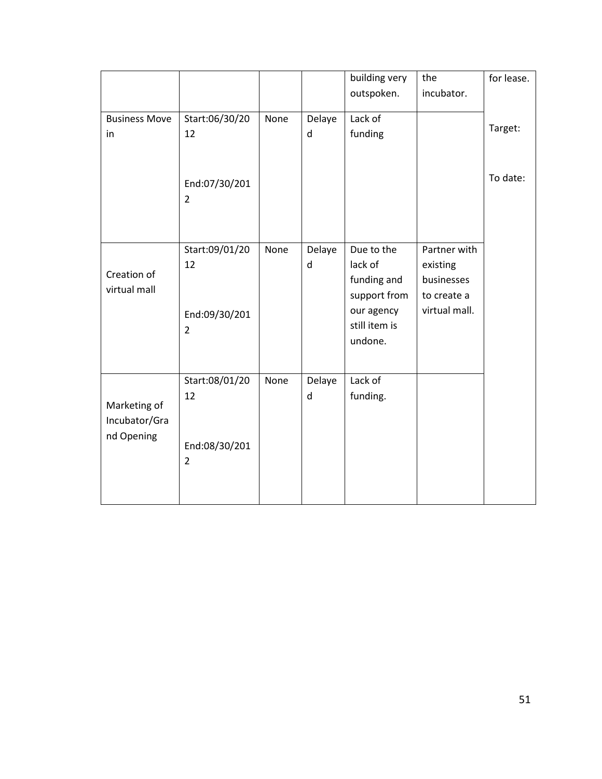|                      |                    |      |         | building very               | the                       | for lease. |
|----------------------|--------------------|------|---------|-----------------------------|---------------------------|------------|
|                      |                    |      |         | outspoken.                  | incubator.                |            |
| <b>Business Move</b> | Start:06/30/20     | None | Delaye  | Lack of                     |                           |            |
| in                   | 12                 |      | d       | funding                     |                           | Target:    |
|                      |                    |      |         |                             |                           |            |
|                      | End:07/30/201<br>2 |      |         |                             |                           | To date:   |
|                      | Start:09/01/20     | None | Delaye  | Due to the                  | Partner with              |            |
| Creation of          | 12                 |      | $\sf d$ | lack of                     | existing                  |            |
| virtual mall         |                    |      |         | funding and<br>support from | businesses<br>to create a |            |
|                      | End:09/30/201      |      |         | our agency                  | virtual mall.             |            |
|                      | $\overline{2}$     |      |         | still item is               |                           |            |
|                      |                    |      |         | undone.                     |                           |            |
|                      |                    |      |         |                             |                           |            |
|                      | Start:08/01/20     | None | Delaye  | Lack of                     |                           |            |
| Marketing of         | 12                 |      | d       | funding.                    |                           |            |
| Incubator/Gra        |                    |      |         |                             |                           |            |
| nd Opening           | End:08/30/201      |      |         |                             |                           |            |
|                      | $\overline{2}$     |      |         |                             |                           |            |
|                      |                    |      |         |                             |                           |            |
|                      |                    |      |         |                             |                           |            |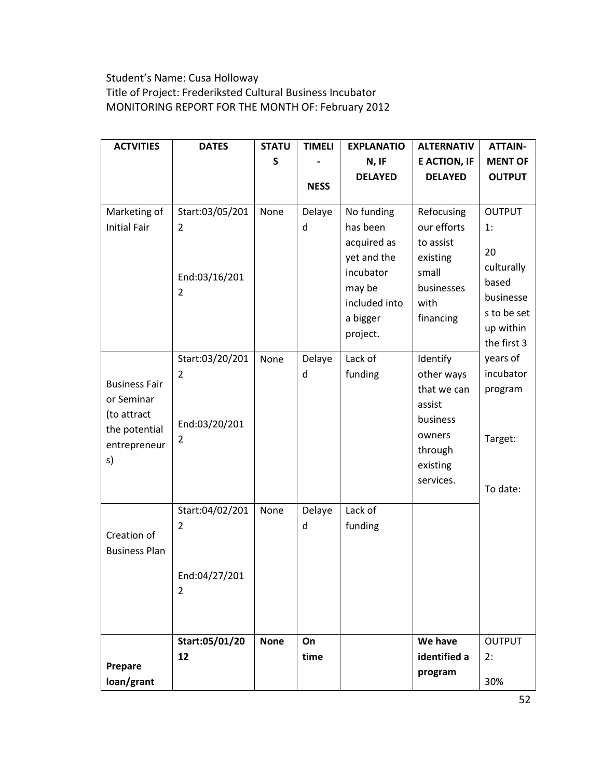# Student's Name: Cusa Holloway Title of Project: Frederiksted Cultural Business Incubator MONITORING REPORT FOR THE MONTH OF: February 2012

| <b>ACTVITIES</b>                                                                         | <b>DATES</b>                                            | <b>STATU</b> | <b>TIMELI</b> | <b>EXPLANATIO</b>                                                                                        | <b>ALTERNATIV</b>                                                                                         | <b>ATTAIN-</b>                                                               |
|------------------------------------------------------------------------------------------|---------------------------------------------------------|--------------|---------------|----------------------------------------------------------------------------------------------------------|-----------------------------------------------------------------------------------------------------------|------------------------------------------------------------------------------|
|                                                                                          |                                                         | S            |               | N, IF                                                                                                    | <b>E ACTION, IF</b>                                                                                       | <b>MENT OF</b>                                                               |
|                                                                                          |                                                         |              |               | <b>DELAYED</b>                                                                                           | <b>DELAYED</b>                                                                                            | <b>OUTPUT</b>                                                                |
|                                                                                          |                                                         |              | <b>NESS</b>   |                                                                                                          |                                                                                                           |                                                                              |
| Marketing of<br><b>Initial Fair</b>                                                      | Start:03/05/201<br>2<br>End:03/16/201<br>2              | None         | Delaye<br>d   | No funding<br>has been<br>acquired as<br>yet and the<br>incubator<br>may be<br>included into<br>a bigger | Refocusing<br>our efforts<br>to assist<br>existing<br>small<br>businesses<br>with<br>financing            | <b>OUTPUT</b><br>1:<br>20<br>culturally<br>based<br>businesse<br>s to be set |
|                                                                                          |                                                         |              |               | project.                                                                                                 |                                                                                                           | up within<br>the first 3                                                     |
| <b>Business Fair</b><br>or Seminar<br>(to attract<br>the potential<br>entrepreneur<br>s) | Start:03/20/201<br>2<br>End:03/20/201<br>2              | None         | Delaye<br>d   | Lack of<br>funding                                                                                       | Identify<br>other ways<br>that we can<br>assist<br>business<br>owners<br>through<br>existing<br>services. | years of<br>incubator<br>program<br>Target:<br>To date:                      |
| Creation of<br><b>Business Plan</b>                                                      | Start:04/02/201<br>2<br>End:04/27/201<br>$\overline{2}$ | None         | Delaye<br>d   | Lack of<br>funding                                                                                       |                                                                                                           |                                                                              |
|                                                                                          | Start:05/01/20                                          | <b>None</b>  | On            |                                                                                                          | We have                                                                                                   | <b>OUTPUT</b>                                                                |
|                                                                                          | 12                                                      |              | time          |                                                                                                          | identified a                                                                                              | 2:                                                                           |
| Prepare<br>loan/grant                                                                    |                                                         |              |               |                                                                                                          | program                                                                                                   | 30%                                                                          |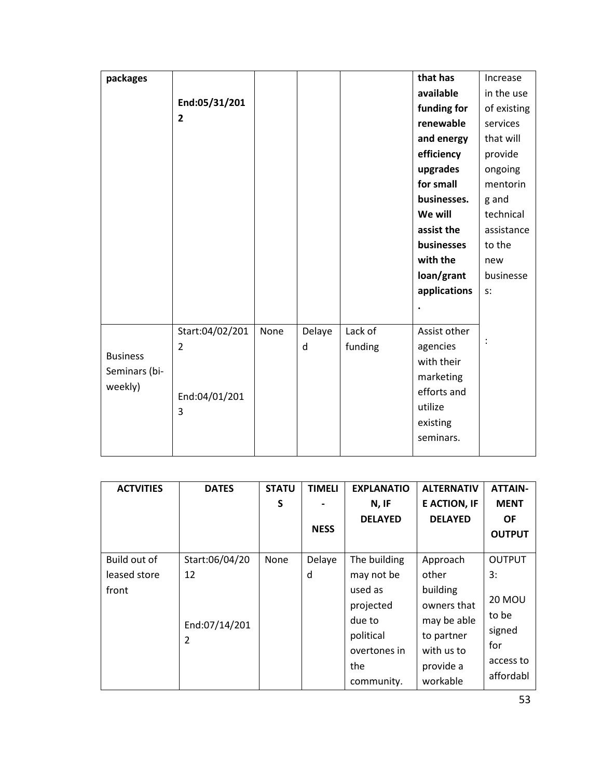| packages        |                    |      |        |         | that has     | Increase    |
|-----------------|--------------------|------|--------|---------|--------------|-------------|
|                 |                    |      |        |         | available    | in the use  |
|                 | End:05/31/201      |      |        |         | funding for  | of existing |
|                 | $\overline{2}$     |      |        |         | renewable    | services    |
|                 |                    |      |        |         | and energy   | that will   |
|                 |                    |      |        |         | efficiency   | provide     |
|                 |                    |      |        |         | upgrades     | ongoing     |
|                 |                    |      |        |         | for small    | mentorin    |
|                 |                    |      |        |         | businesses.  | g and       |
|                 |                    |      |        |         | We will      | technical   |
|                 |                    |      |        |         | assist the   | assistance  |
|                 |                    |      |        |         | businesses   | to the      |
|                 |                    |      |        |         | with the     | new         |
|                 |                    |      |        |         | loan/grant   | businesse   |
|                 |                    |      |        |         | applications | $S$ :       |
|                 |                    |      |        |         |              |             |
|                 | Start:04/02/201    | None | Delaye | Lack of | Assist other |             |
|                 | 2                  |      | d      | funding | agencies     |             |
| <b>Business</b> |                    |      |        |         | with their   |             |
| Seminars (bi-   |                    |      |        |         | marketing    |             |
| weekly)         |                    |      |        |         | efforts and  |             |
|                 | End:04/01/201<br>3 |      |        |         | utilize      |             |
|                 |                    |      |        |         | existing     |             |
|                 |                    |      |        |         | seminars.    |             |
|                 |                    |      |        |         |              |             |

| <b>ACTVITIES</b> | <b>DATES</b>   | <b>STATU</b> | <b>TIMELI</b> | <b>EXPLANATIO</b> | <b>ALTERNATIV</b>   | <b>ATTAIN-</b> |
|------------------|----------------|--------------|---------------|-------------------|---------------------|----------------|
|                  |                | S            |               | N, IF             | <b>E ACTION, IF</b> | <b>MENT</b>    |
|                  |                |              |               | <b>DELAYED</b>    | <b>DELAYED</b>      | <b>OF</b>      |
|                  |                |              | <b>NESS</b>   |                   |                     | <b>OUTPUT</b>  |
| Build out of     | Start:06/04/20 | None         | Delaye        | The building      | Approach            | <b>OUTPUT</b>  |
| leased store     | 12             |              | d             | may not be        | other               | 3:             |
| front            |                |              |               | used as           | building            |                |
|                  |                |              |               | projected         | owners that         | <b>20 MOU</b>  |
|                  | End:07/14/201  |              |               | due to            | may be able         | to be          |
|                  | 2              |              |               | political         | to partner          | signed         |
|                  |                |              |               | overtones in      | with us to          | for            |
|                  |                |              |               | the               | provide a           | access to      |
|                  |                |              |               | community.        | workable            | affordabl      |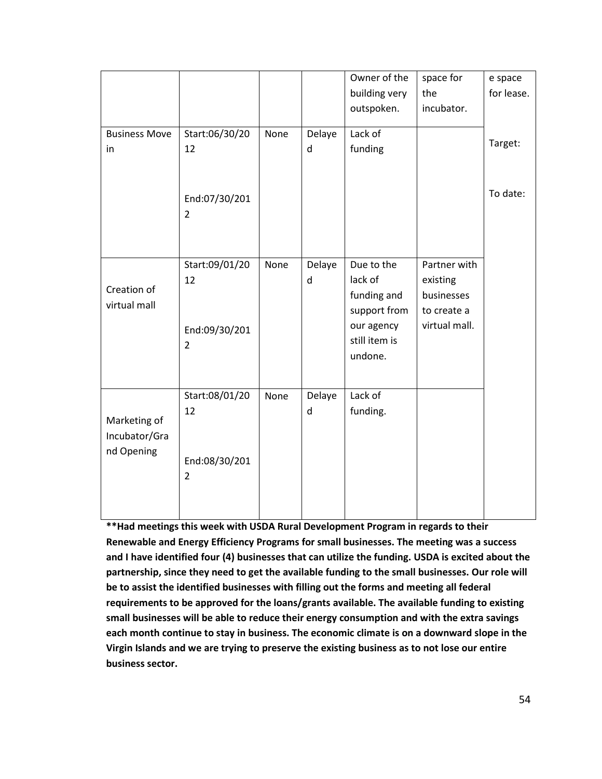|                      |                                 |      |        | Owner of the  | space for     | e space    |
|----------------------|---------------------------------|------|--------|---------------|---------------|------------|
|                      |                                 |      |        | building very | the           | for lease. |
|                      |                                 |      |        | outspoken.    | incubator.    |            |
|                      |                                 |      |        |               |               |            |
| <b>Business Move</b> | Start:06/30/20                  | None | Delaye | Lack of       |               | Target:    |
| in                   | 12                              |      | d      | funding       |               |            |
|                      |                                 |      |        |               |               |            |
|                      |                                 |      |        |               |               |            |
|                      | End:07/30/201                   |      |        |               |               | To date:   |
|                      | $\overline{2}$                  |      |        |               |               |            |
|                      |                                 |      |        |               |               |            |
|                      |                                 |      |        |               |               |            |
|                      | Start:09/01/20                  | None | Delaye | Due to the    | Partner with  |            |
|                      | 12                              |      | d      | lack of       | existing      |            |
| Creation of          |                                 |      |        | funding and   | businesses    |            |
| virtual mall         |                                 |      |        | support from  | to create a   |            |
|                      | End:09/30/201                   |      |        | our agency    | virtual mall. |            |
|                      | $\overline{2}$                  |      |        | still item is |               |            |
|                      |                                 |      |        | undone.       |               |            |
|                      |                                 |      |        |               |               |            |
|                      | Start:08/01/20                  | None | Delaye | Lack of       |               |            |
|                      | 12                              |      | d      | funding.      |               |            |
| Marketing of         |                                 |      |        |               |               |            |
| Incubator/Gra        |                                 |      |        |               |               |            |
| nd Opening           |                                 |      |        |               |               |            |
|                      | End:08/30/201<br>$\overline{2}$ |      |        |               |               |            |
|                      |                                 |      |        |               |               |            |
|                      |                                 |      |        |               |               |            |
|                      |                                 |      |        |               |               |            |

**\*\*Had meetings this week with USDA Rural Development Program in regards to their Renewable and Energy Efficiency Programs for small businesses. The meeting was a success and I have identified four (4) businesses that can utilize the funding. USDA is excited about the partnership, since they need to get the available funding to the small businesses. Our role will be to assist the identified businesses with filling out the forms and meeting all federal requirements to be approved for the loans/grants available. The available funding to existing small businesses will be able to reduce their energy consumption and with the extra savings each month continue to stay in business. The economic climate is on a downward slope in the Virgin Islands and we are trying to preserve the existing business as to not lose our entire business sector.**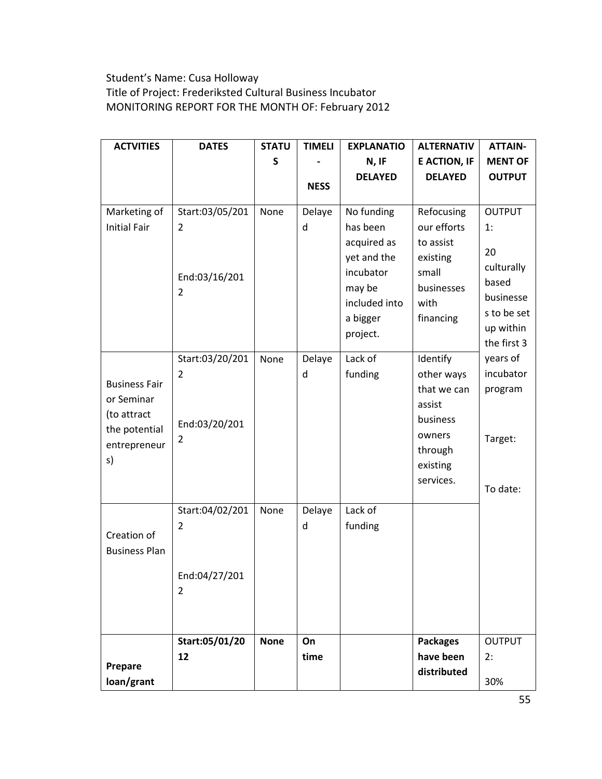# Student's Name: Cusa Holloway Title of Project: Frederiksted Cultural Business Incubator MONITORING REPORT FOR THE MONTH OF: February 2012

| <b>ACTVITIES</b>                    | <b>DATES</b>                      | <b>STATU</b> | <b>TIMELI</b> | <b>EXPLANATIO</b>                                                           | <b>ALTERNATIV</b>                                    | <b>ATTAIN-</b>                                                                    |
|-------------------------------------|-----------------------------------|--------------|---------------|-----------------------------------------------------------------------------|------------------------------------------------------|-----------------------------------------------------------------------------------|
|                                     |                                   | S            |               | N, IF                                                                       | <b>E ACTION, IF</b>                                  | <b>MENT OF</b>                                                                    |
|                                     |                                   |              |               | <b>DELAYED</b>                                                              | <b>DELAYED</b>                                       | <b>OUTPUT</b>                                                                     |
|                                     |                                   |              | <b>NESS</b>   |                                                                             |                                                      |                                                                                   |
| Marketing of<br><b>Initial Fair</b> | Start:03/05/201<br>$\overline{2}$ | None         | Delaye<br>d   | No funding<br>has been<br>acquired as                                       | Refocusing<br>our efforts<br>to assist               | <b>OUTPUT</b><br>1:                                                               |
|                                     | End:03/16/201<br>2                |              |               | yet and the<br>incubator<br>may be<br>included into<br>a bigger<br>project. | existing<br>small<br>businesses<br>with<br>financing | 20<br>culturally<br>based<br>businesse<br>s to be set<br>up within<br>the first 3 |
|                                     | Start:03/20/201                   | None         | Delaye        | Lack of                                                                     | Identify                                             | years of                                                                          |
| <b>Business Fair</b>                | 2                                 |              | d             | funding                                                                     | other ways                                           | incubator                                                                         |
| or Seminar                          |                                   |              |               |                                                                             | that we can                                          | program                                                                           |
| (to attract                         |                                   |              |               |                                                                             | assist                                               |                                                                                   |
| the potential                       | End:03/20/201                     |              |               |                                                                             | business                                             |                                                                                   |
| entrepreneur                        | 2                                 |              |               |                                                                             | owners<br>through                                    | Target:                                                                           |
| s)                                  |                                   |              |               |                                                                             | existing                                             |                                                                                   |
|                                     |                                   |              |               |                                                                             | services.                                            |                                                                                   |
|                                     |                                   |              |               |                                                                             |                                                      | To date:                                                                          |
|                                     | Start:04/02/201                   | None         | Delaye        | Lack of                                                                     |                                                      |                                                                                   |
|                                     | 2                                 |              | d             | funding                                                                     |                                                      |                                                                                   |
| Creation of<br><b>Business Plan</b> |                                   |              |               |                                                                             |                                                      |                                                                                   |
|                                     | End:04/27/201                     |              |               |                                                                             |                                                      |                                                                                   |
|                                     | $\overline{2}$                    |              |               |                                                                             |                                                      |                                                                                   |
|                                     |                                   |              |               |                                                                             |                                                      |                                                                                   |
|                                     |                                   |              |               |                                                                             |                                                      |                                                                                   |
|                                     | Start:05/01/20                    | <b>None</b>  | On            |                                                                             | <b>Packages</b>                                      | <b>OUTPUT</b>                                                                     |
| Prepare                             | 12                                |              | time          |                                                                             | have been                                            | 2:                                                                                |
| loan/grant                          |                                   |              |               |                                                                             | distributed                                          | 30%                                                                               |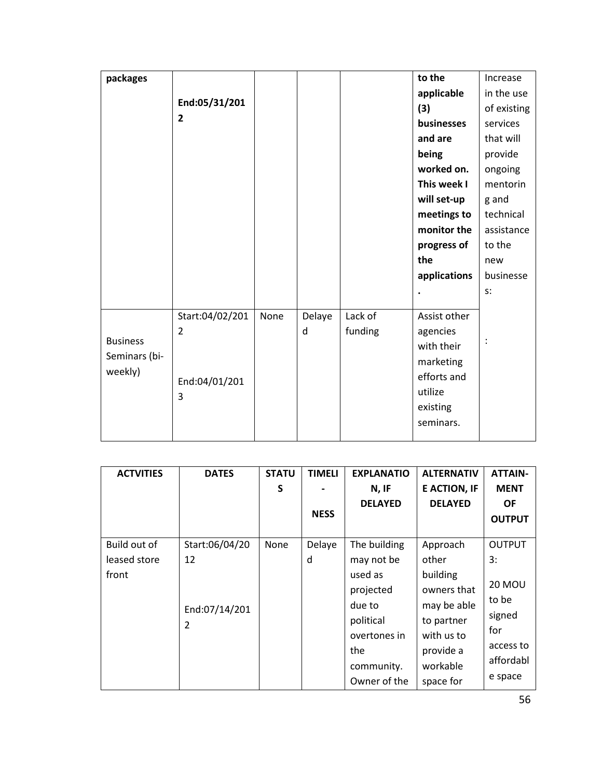| packages                                    |                                                         |      |             |                    | to the                                                                                                 | Increase       |
|---------------------------------------------|---------------------------------------------------------|------|-------------|--------------------|--------------------------------------------------------------------------------------------------------|----------------|
|                                             |                                                         |      |             |                    | applicable                                                                                             | in the use     |
|                                             | End:05/31/201                                           |      |             |                    | (3)                                                                                                    | of existing    |
|                                             | 2                                                       |      |             |                    | businesses                                                                                             | services       |
|                                             |                                                         |      |             |                    | and are                                                                                                | that will      |
|                                             |                                                         |      |             |                    | being                                                                                                  | provide        |
|                                             |                                                         |      |             |                    | worked on.                                                                                             | ongoing        |
|                                             |                                                         |      |             |                    | This week I                                                                                            | mentorin       |
|                                             |                                                         |      |             |                    | will set-up                                                                                            | g and          |
|                                             |                                                         |      |             |                    | meetings to                                                                                            | technical      |
|                                             |                                                         |      |             |                    | monitor the                                                                                            | assistance     |
|                                             |                                                         |      |             |                    | progress of                                                                                            | to the         |
|                                             |                                                         |      |             |                    | the                                                                                                    | new            |
|                                             |                                                         |      |             |                    | applications                                                                                           | businesse      |
|                                             |                                                         |      |             |                    |                                                                                                        | s:             |
| <b>Business</b><br>Seminars (bi-<br>weekly) | Start:04/02/201<br>$\overline{2}$<br>End:04/01/201<br>3 | None | Delaye<br>d | Lack of<br>funding | Assist other<br>agencies<br>with their<br>marketing<br>efforts and<br>utilize<br>existing<br>seminars. | $\ddot{\cdot}$ |
|                                             |                                                         |      |             |                    |                                                                                                        |                |

| <b>ACTVITIES</b> | <b>DATES</b>   | <b>STATU</b> | <b>TIMELI</b> | <b>EXPLANATIO</b> | <b>ALTERNATIV</b>   | <b>ATTAIN-</b>  |
|------------------|----------------|--------------|---------------|-------------------|---------------------|-----------------|
|                  |                | S            |               | N, IF             | <b>E ACTION, IF</b> | <b>MENT</b>     |
|                  |                |              |               | <b>DELAYED</b>    | <b>DELAYED</b>      | <b>OF</b>       |
|                  |                |              | <b>NESS</b>   |                   |                     | <b>OUTPUT</b>   |
|                  |                |              |               |                   |                     |                 |
| Build out of     | Start:06/04/20 | None         | Delaye        | The building      | Approach            | <b>OUTPUT</b>   |
| leased store     | 12             |              | d             | may not be        | other               | 3:              |
| front            |                |              |               | used as           | building            |                 |
|                  |                |              |               | projected         | owners that         | <b>20 MOU</b>   |
|                  | End:07/14/201  |              |               | due to            | may be able         | to be<br>signed |
|                  | 2              |              |               | political         | to partner          |                 |
|                  |                |              |               | overtones in      | with us to          | for             |
|                  |                |              |               | the               | provide a           | access to       |
|                  |                |              |               | community.        | workable            | affordabl       |
|                  |                |              |               | Owner of the      | space for           | e space         |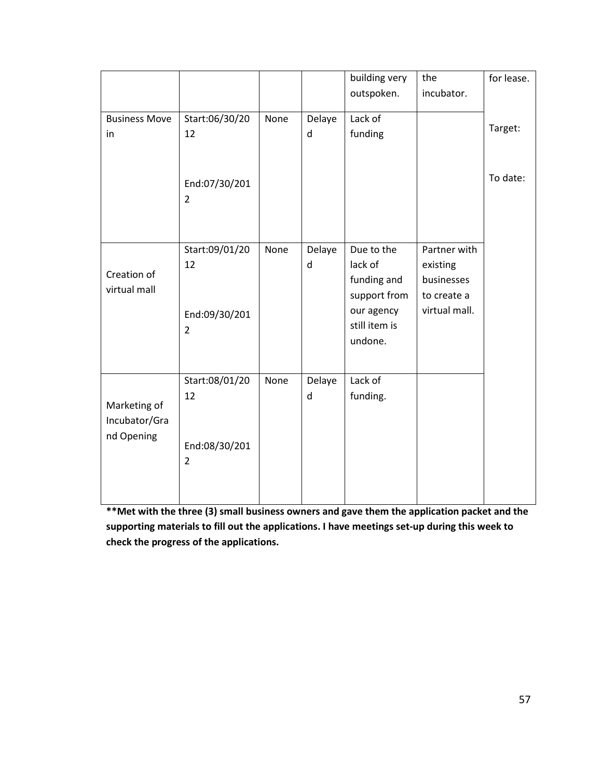|                             |                                 |      |             | building very               | the                       | for lease. |
|-----------------------------|---------------------------------|------|-------------|-----------------------------|---------------------------|------------|
|                             |                                 |      |             | outspoken.                  | incubator.                |            |
| <b>Business Move</b><br>in  | Start:06/30/20<br>12            | None | Delaye<br>d | Lack of<br>funding          |                           | Target:    |
|                             |                                 |      |             |                             |                           |            |
|                             | End:07/30/201<br>$\overline{2}$ |      |             |                             |                           | To date:   |
|                             | Start:09/01/20                  | None | Delaye      | Due to the                  | Partner with              |            |
| Creation of<br>virtual mall | 12                              |      | d           | lack of                     | existing                  |            |
|                             |                                 |      |             | funding and<br>support from | businesses<br>to create a |            |
|                             | End:09/30/201                   |      |             | our agency                  | virtual mall.             |            |
|                             | $\overline{2}$                  |      |             | still item is               |                           |            |
|                             |                                 |      |             | undone.                     |                           |            |
|                             |                                 |      |             |                             |                           |            |
|                             | Start:08/01/20                  | None | Delaye      | Lack of                     |                           |            |
| Marketing of                | 12                              |      | d           | funding.                    |                           |            |
| Incubator/Gra               |                                 |      |             |                             |                           |            |
| nd Opening                  | End:08/30/201                   |      |             |                             |                           |            |
|                             | $\overline{2}$                  |      |             |                             |                           |            |
|                             |                                 |      |             |                             |                           |            |

**\*\*Met with the three (3) small business owners and gave them the application packet and the supporting materials to fill out the applications. I have meetings set-up during this week to check the progress of the applications.**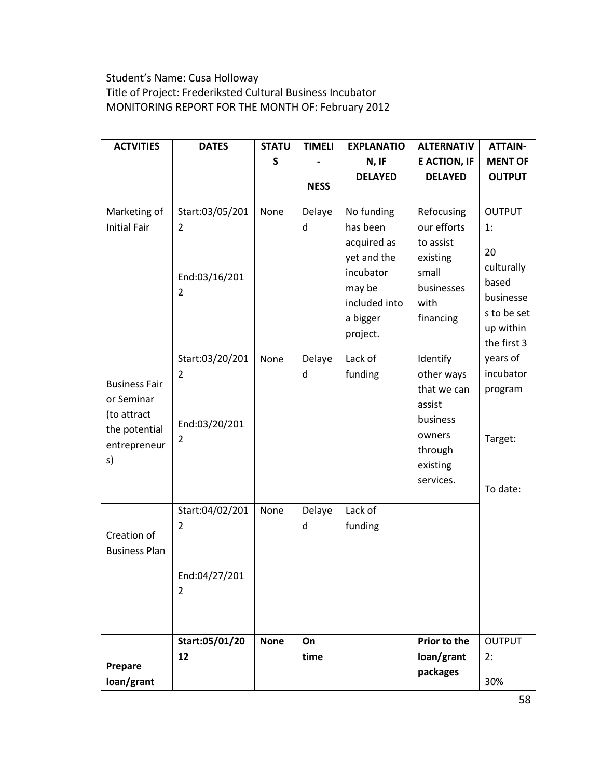# Student's Name: Cusa Holloway Title of Project: Frederiksted Cultural Business Incubator MONITORING REPORT FOR THE MONTH OF: February 2012

| <b>ACTVITIES</b>                                                                         | <b>DATES</b>                                            | <b>STATU</b> | <b>TIMELI</b> | <b>EXPLANATIO</b>                                                                                        | <b>ALTERNATIV</b>                                                                                         | <b>ATTAIN-</b>                                                               |
|------------------------------------------------------------------------------------------|---------------------------------------------------------|--------------|---------------|----------------------------------------------------------------------------------------------------------|-----------------------------------------------------------------------------------------------------------|------------------------------------------------------------------------------|
|                                                                                          |                                                         | S            |               | N, IF                                                                                                    | <b>E ACTION, IF</b>                                                                                       | <b>MENT OF</b>                                                               |
|                                                                                          |                                                         |              |               | <b>DELAYED</b>                                                                                           | <b>DELAYED</b>                                                                                            | <b>OUTPUT</b>                                                                |
|                                                                                          |                                                         |              | <b>NESS</b>   |                                                                                                          |                                                                                                           |                                                                              |
| Marketing of<br><b>Initial Fair</b>                                                      | Start:03/05/201<br>2<br>End:03/16/201<br>2              | None         | Delaye<br>d   | No funding<br>has been<br>acquired as<br>yet and the<br>incubator<br>may be<br>included into<br>a bigger | Refocusing<br>our efforts<br>to assist<br>existing<br>small<br>businesses<br>with<br>financing            | <b>OUTPUT</b><br>1:<br>20<br>culturally<br>based<br>businesse<br>s to be set |
|                                                                                          |                                                         |              |               | project.                                                                                                 |                                                                                                           | up within<br>the first 3                                                     |
| <b>Business Fair</b><br>or Seminar<br>(to attract<br>the potential<br>entrepreneur<br>s) | Start:03/20/201<br>2<br>End:03/20/201<br>2              | None         | Delaye<br>d   | Lack of<br>funding                                                                                       | Identify<br>other ways<br>that we can<br>assist<br>business<br>owners<br>through<br>existing<br>services. | years of<br>incubator<br>program<br>Target:<br>To date:                      |
| Creation of<br><b>Business Plan</b>                                                      | Start:04/02/201<br>2<br>End:04/27/201<br>$\overline{2}$ | None         | Delaye<br>d   | Lack of<br>funding                                                                                       |                                                                                                           |                                                                              |
|                                                                                          | Start:05/01/20                                          | <b>None</b>  | On            |                                                                                                          | Prior to the                                                                                              | <b>OUTPUT</b>                                                                |
|                                                                                          | 12                                                      |              | time          |                                                                                                          | loan/grant                                                                                                | 2:                                                                           |
| Prepare<br>loan/grant                                                                    |                                                         |              |               |                                                                                                          | packages                                                                                                  | 30%                                                                          |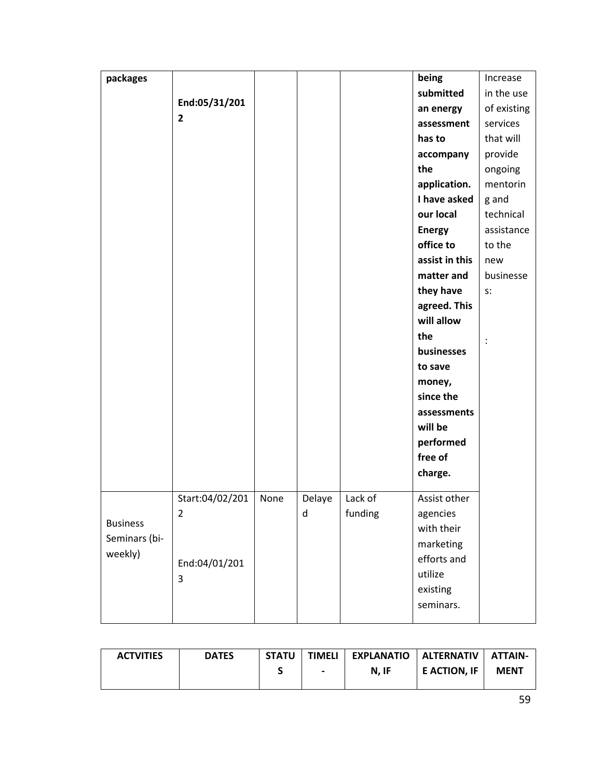| packages        |                 |      |        |         | being                    | Increase       |
|-----------------|-----------------|------|--------|---------|--------------------------|----------------|
|                 |                 |      |        |         | submitted                | in the use     |
|                 | End:05/31/201   |      |        |         | an energy                | of existing    |
|                 | $\overline{2}$  |      |        |         | assessment               | services       |
|                 |                 |      |        |         | has to                   | that will      |
|                 |                 |      |        |         | accompany                | provide        |
|                 |                 |      |        |         | the                      | ongoing        |
|                 |                 |      |        |         | application.             | mentorin       |
|                 |                 |      |        |         | I have asked             | g and          |
|                 |                 |      |        |         | our local                | technical      |
|                 |                 |      |        |         | <b>Energy</b>            | assistance     |
|                 |                 |      |        |         | office to                | to the         |
|                 |                 |      |        |         | assist in this           | new            |
|                 |                 |      |        |         | matter and               | businesse      |
|                 |                 |      |        |         | they have                | $S$ :          |
|                 |                 |      |        |         | agreed. This             |                |
|                 |                 |      |        |         | will allow               |                |
|                 |                 |      |        |         | the                      | $\ddot{\cdot}$ |
|                 |                 |      |        |         | businesses               |                |
|                 |                 |      |        |         | to save                  |                |
|                 |                 |      |        |         | money,                   |                |
|                 |                 |      |        |         | since the                |                |
|                 |                 |      |        |         | assessments              |                |
|                 |                 |      |        |         | will be                  |                |
|                 |                 |      |        |         | performed                |                |
|                 |                 |      |        |         | free of                  |                |
|                 |                 |      |        |         | charge.                  |                |
|                 |                 |      |        |         |                          |                |
|                 | Start:04/02/201 | None | Delaye | Lack of | Assist other             |                |
| <b>Business</b> | 2               |      | d      | funding | agencies                 |                |
| Seminars (bi-   |                 |      |        |         | with their               |                |
| weekly)         |                 |      |        |         | marketing<br>efforts and |                |
|                 | End:04/01/201   |      |        |         |                          |                |
|                 | 3               |      |        |         | utilize                  |                |
|                 |                 |      |        |         | existing                 |                |
|                 |                 |      |        |         | seminars.                |                |

| <b>ACTVITIES</b> | <b>DATES</b> | STATU I | <b>TIMELI</b>  | EXPLANATIO   ALTERNATIV |                     | <b>ATTAIN-</b> |
|------------------|--------------|---------|----------------|-------------------------|---------------------|----------------|
|                  |              |         | $\blacksquare$ | N. IF                   | <b>E ACTION. IF</b> | <b>MENT</b>    |
|                  |              |         |                |                         |                     |                |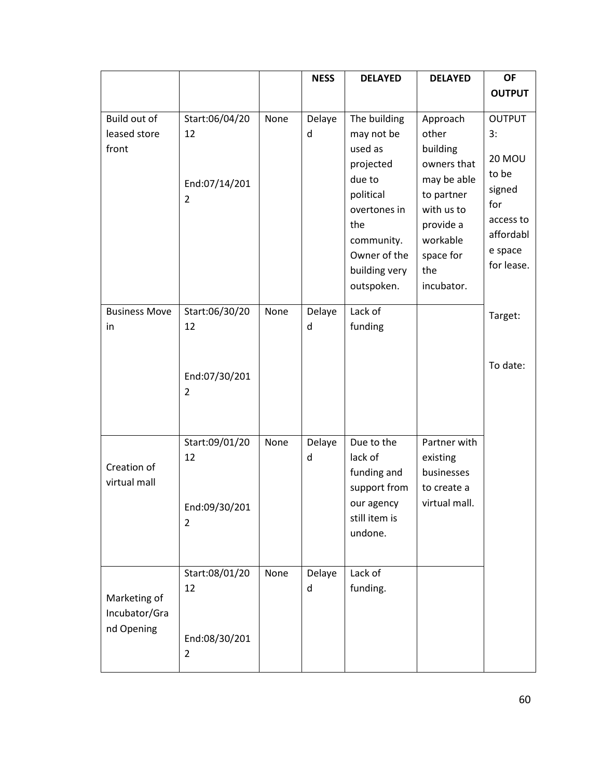|                                             |                                                         |      | <b>NESS</b> | <b>DELAYED</b>                                                                                                                                                | <b>DELAYED</b>                                                                                                                                     | <b>OF</b>                                                                                                         |
|---------------------------------------------|---------------------------------------------------------|------|-------------|---------------------------------------------------------------------------------------------------------------------------------------------------------------|----------------------------------------------------------------------------------------------------------------------------------------------------|-------------------------------------------------------------------------------------------------------------------|
|                                             |                                                         |      |             |                                                                                                                                                               |                                                                                                                                                    | <b>OUTPUT</b>                                                                                                     |
| Build out of<br>leased store<br>front       | Start:06/04/20<br>12<br>End:07/14/201<br>$\overline{2}$ | None | Delaye<br>d | The building<br>may not be<br>used as<br>projected<br>due to<br>political<br>overtones in<br>the<br>community.<br>Owner of the<br>building very<br>outspoken. | Approach<br>other<br>building<br>owners that<br>may be able<br>to partner<br>with us to<br>provide a<br>workable<br>space for<br>the<br>incubator. | <b>OUTPUT</b><br>3:<br><b>20 MOU</b><br>to be<br>signed<br>for<br>access to<br>affordabl<br>e space<br>for lease. |
| <b>Business Move</b>                        | Start:06/30/20<br>12                                    | None | Delaye      | Lack of                                                                                                                                                       |                                                                                                                                                    | Target:                                                                                                           |
| in                                          | End:07/30/201<br>$\overline{2}$                         |      | d           | funding                                                                                                                                                       |                                                                                                                                                    | To date:                                                                                                          |
|                                             | Start:09/01/20<br>12                                    | None | Delaye<br>d | Due to the<br>lack of                                                                                                                                         | Partner with<br>existing                                                                                                                           |                                                                                                                   |
| Creation of<br>virtual mall                 | End:09/30/201<br>$\overline{2}$                         |      |             | funding and<br>support from<br>our agency<br>still item is<br>undone.                                                                                         | businesses<br>to create a<br>virtual mall.                                                                                                         |                                                                                                                   |
|                                             | Start:08/01/20<br>12                                    | None | Delaye<br>d | Lack of<br>funding.                                                                                                                                           |                                                                                                                                                    |                                                                                                                   |
| Marketing of<br>Incubator/Gra<br>nd Opening | End:08/30/201<br>$\overline{2}$                         |      |             |                                                                                                                                                               |                                                                                                                                                    |                                                                                                                   |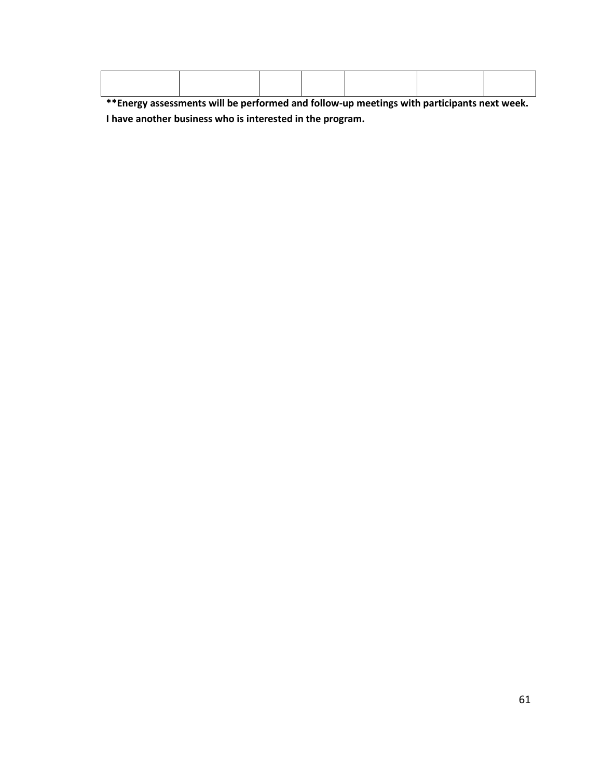**\*\*Energy assessments will be performed and follow-up meetings with participants next week. I have another business who is interested in the program.**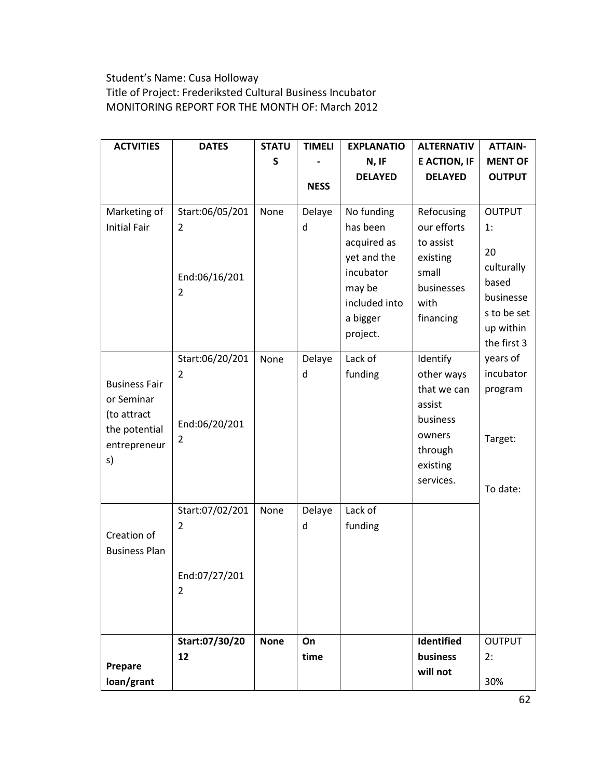# Student's Name: Cusa Holloway Title of Project: Frederiksted Cultural Business Incubator MONITORING REPORT FOR THE MONTH OF: March 2012

| <b>ACTVITIES</b>                    | <b>DATES</b>                                            | <b>STATU</b> | <b>TIMELI</b> | <b>EXPLANATIO</b>                                                           | <b>ALTERNATIV</b>                                                         | <b>ATTAIN-</b>                                       |
|-------------------------------------|---------------------------------------------------------|--------------|---------------|-----------------------------------------------------------------------------|---------------------------------------------------------------------------|------------------------------------------------------|
|                                     |                                                         | S            |               | N, IF                                                                       | <b>E ACTION, IF</b>                                                       | <b>MENT OF</b>                                       |
|                                     |                                                         |              |               | <b>DELAYED</b>                                                              | <b>DELAYED</b>                                                            | <b>OUTPUT</b>                                        |
|                                     |                                                         |              | <b>NESS</b>   |                                                                             |                                                                           |                                                      |
| Marketing of<br><b>Initial Fair</b> | Start:06/05/201<br>$\overline{2}$<br>End:06/16/201<br>2 | None         | Delaye<br>d   | No funding<br>has been<br>acquired as<br>yet and the<br>incubator<br>may be | Refocusing<br>our efforts<br>to assist<br>existing<br>small<br>businesses | <b>OUTPUT</b><br>1:<br>20<br>culturally<br>based     |
|                                     |                                                         |              |               | included into<br>a bigger<br>project.                                       | with<br>financing                                                         | businesse<br>s to be set<br>up within<br>the first 3 |
|                                     | Start:06/20/201                                         | None         | Delaye        | Lack of                                                                     | Identify                                                                  | years of                                             |
| <b>Business Fair</b>                | 2                                                       |              | d             | funding                                                                     | other ways                                                                | incubator                                            |
| or Seminar                          |                                                         |              |               |                                                                             | that we can<br>assist                                                     | program                                              |
| (to attract                         |                                                         |              |               |                                                                             | business                                                                  |                                                      |
| the potential                       | End:06/20/201                                           |              |               |                                                                             | owners                                                                    |                                                      |
| entrepreneur                        | 2                                                       |              |               |                                                                             | through                                                                   | Target:                                              |
| s)                                  |                                                         |              |               |                                                                             | existing                                                                  |                                                      |
|                                     |                                                         |              |               |                                                                             | services.                                                                 | To date:                                             |
|                                     |                                                         |              |               |                                                                             |                                                                           |                                                      |
|                                     | Start:07/02/201                                         | None         | Delaye        | Lack of                                                                     |                                                                           |                                                      |
| Creation of                         | 2                                                       |              | d             | funding                                                                     |                                                                           |                                                      |
| <b>Business Plan</b>                |                                                         |              |               |                                                                             |                                                                           |                                                      |
|                                     | End:07/27/201                                           |              |               |                                                                             |                                                                           |                                                      |
|                                     | $\overline{2}$                                          |              |               |                                                                             |                                                                           |                                                      |
|                                     |                                                         |              |               |                                                                             |                                                                           |                                                      |
|                                     | Start:07/30/20                                          | <b>None</b>  | On            |                                                                             | Identified                                                                | <b>OUTPUT</b>                                        |
|                                     | 12                                                      |              | time          |                                                                             | business                                                                  | 2:                                                   |
| Prepare<br>loan/grant               |                                                         |              |               |                                                                             | will not                                                                  | 30%                                                  |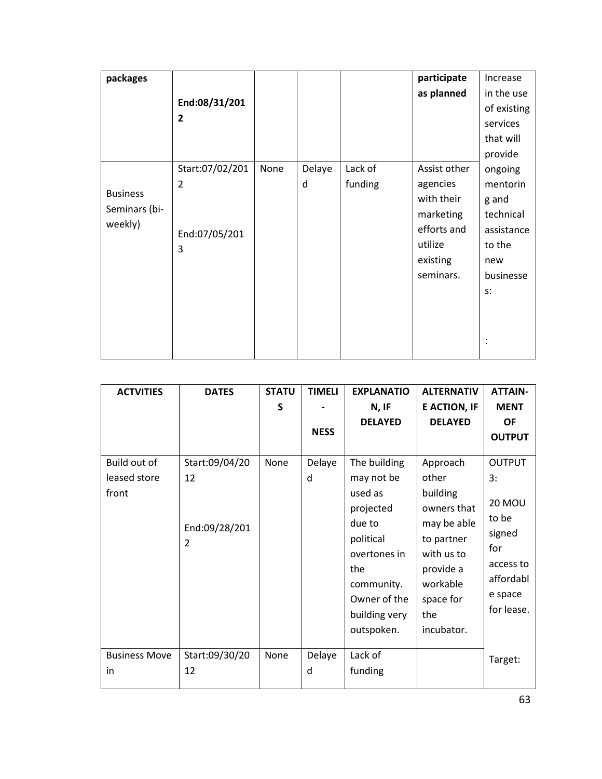| packages        |                 |      |        |         | participate  | Increase    |
|-----------------|-----------------|------|--------|---------|--------------|-------------|
|                 |                 |      |        |         | as planned   | in the use  |
|                 | End:08/31/201   |      |        |         |              | of existing |
|                 | $\overline{2}$  |      |        |         |              | services    |
|                 |                 |      |        |         |              | that will   |
|                 |                 |      |        |         |              | provide     |
|                 | Start:07/02/201 | None | Delaye | Lack of | Assist other | ongoing     |
|                 | 2               |      | d      | funding | agencies     | mentorin    |
| <b>Business</b> |                 |      |        |         | with their   | g and       |
| Seminars (bi-   |                 |      |        |         | marketing    | technical   |
| weekly)         | End:07/05/201   |      |        |         | efforts and  | assistance  |
|                 | 3               |      |        |         | utilize      | to the      |
|                 |                 |      |        |         | existing     | new         |
|                 |                 |      |        |         | seminars.    | businesse   |
|                 |                 |      |        |         |              | s:          |
|                 |                 |      |        |         |              |             |
|                 |                 |      |        |         |              |             |
|                 |                 |      |        |         |              |             |
|                 |                 |      |        |         |              |             |

| <b>ACTVITIES</b>                      | <b>DATES</b>                                            | <b>STATU</b><br>S | <b>TIMELI</b><br><b>NESS</b> | <b>EXPLANATIO</b><br>N, IF<br><b>DELAYED</b>                                                                                                                  | <b>ALTERNATIV</b><br><b>E ACTION, IF</b><br><b>DELAYED</b>                                                                                         | <b>ATTAIN-</b><br><b>MENT</b><br><b>OF</b><br><b>OUTPUT</b>                                                       |
|---------------------------------------|---------------------------------------------------------|-------------------|------------------------------|---------------------------------------------------------------------------------------------------------------------------------------------------------------|----------------------------------------------------------------------------------------------------------------------------------------------------|-------------------------------------------------------------------------------------------------------------------|
| Build out of<br>leased store<br>front | Start:09/04/20<br>12<br>End:09/28/201<br>$\overline{2}$ | None              | Delaye<br>d                  | The building<br>may not be<br>used as<br>projected<br>due to<br>political<br>overtones in<br>the<br>community.<br>Owner of the<br>building very<br>outspoken. | Approach<br>other<br>building<br>owners that<br>may be able<br>to partner<br>with us to<br>provide a<br>workable<br>space for<br>the<br>incubator. | <b>OUTPUT</b><br>3:<br><b>20 MOU</b><br>to be<br>signed<br>for<br>access to<br>affordabl<br>e space<br>for lease. |
| <b>Business Move</b><br>in            | Start:09/30/20<br>12                                    | None              | Delaye<br>d                  | Lack of<br>funding                                                                                                                                            |                                                                                                                                                    | Target:                                                                                                           |